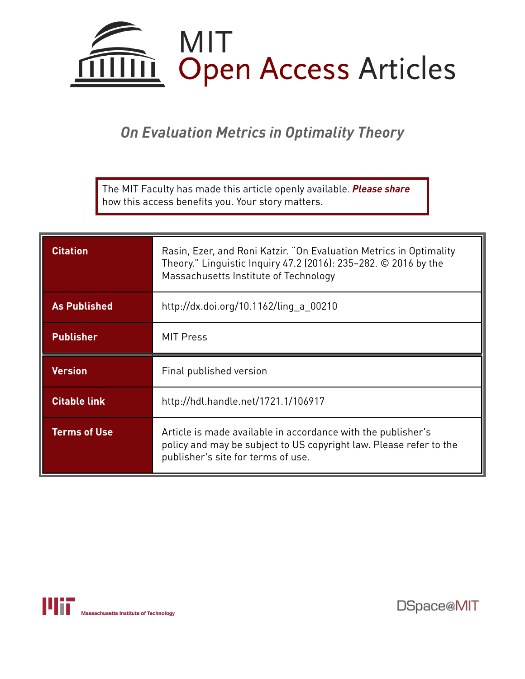

*On Evaluation Metrics in Optimality Theory*

The MIT Faculty has made this article openly available. *[Please](https://libraries.mit.edu/forms/dspace-oa-articles.html) share* how this access benefits you. Your story matters.

| <b>Citation</b>                      | Rasin, Ezer, and Roni Katzir. "On Evaluation Metrics in Optimality<br>Theory." Linguistic Inquiry 47.2 (2016): 235-282. © 2016 by the<br>Massachusetts Institute of Technology |  |  |  |  |  |
|--------------------------------------|--------------------------------------------------------------------------------------------------------------------------------------------------------------------------------|--|--|--|--|--|
| <b>As Published</b>                  | http://dx.doi.org/10.1162/ling a 00210                                                                                                                                         |  |  |  |  |  |
| <b>Publisher</b><br><b>MIT Press</b> |                                                                                                                                                                                |  |  |  |  |  |
|                                      |                                                                                                                                                                                |  |  |  |  |  |
| <b>Version</b>                       | Final published version                                                                                                                                                        |  |  |  |  |  |
| <b>Citable link</b>                  | http://hdl.handle.net/1721.1/106917                                                                                                                                            |  |  |  |  |  |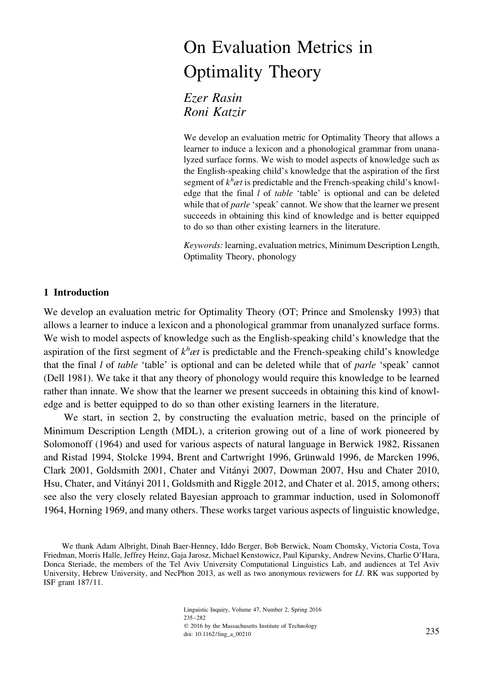# On Evaluation Metrics in Optimality Theory

# *Ezer Rasin Roni Katzir*

We develop an evaluation metric for Optimality Theory that allows a learner to induce a lexicon and a phonological grammar from unanalyzed surface forms. We wish to model aspects of knowledge such as the English-speaking child's knowledge that the aspiration of the first segment of *k<sup>h</sup> æt* is predictable and the French-speaking child's knowledge that the final *l* of *table* 'table' is optional and can be deleted while that of *parle* 'speak' cannot. We show that the learner we present succeeds in obtaining this kind of knowledge and is better equipped to do so than other existing learners in the literature.

*Keywords:* learning, evaluation metrics, Minimum Description Length, Optimality Theory, phonology

# **1 Introduction**

We develop an evaluation metric for Optimality Theory (OT; Prince and Smolensky 1993) that allows a learner to induce a lexicon and a phonological grammar from unanalyzed surface forms. We wish to model aspects of knowledge such as the English-speaking child's knowledge that the aspiration of the first segment of *k<sup>h</sup> æt* is predictable and the French-speaking child's knowledge that the final *l* of *table* 'table' is optional and can be deleted while that of *parle* 'speak' cannot (Dell 1981). We take it that any theory of phonology would require this knowledge to be learned rather than innate. We show that the learner we present succeeds in obtaining this kind of knowledge and is better equipped to do so than other existing learners in the literature.

We start, in section 2, by constructing the evaluation metric, based on the principle of Minimum Description Length (MDL), a criterion growing out of a line of work pioneered by Solomonoff (1964) and used for various aspects of natural language in Berwick 1982, Rissanen and Ristad 1994, Stolcke 1994, Brent and Cartwright 1996, Grünwald 1996, de Marcken 1996, Clark 2001, Goldsmith 2001, Chater and Vitányi 2007, Dowman 2007, Hsu and Chater 2010, Hsu, Chater, and Vitányi 2011, Goldsmith and Riggle 2012, and Chater et al. 2015, among others; see also the very closely related Bayesian approach to grammar induction, used in Solomonoff 1964, Horning 1969, and many others. These works target various aspects of linguistic knowledge,

We thank Adam Albright, Dinah Baer-Henney, Iddo Berger, Bob Berwick, Noam Chomsky, Victoria Costa, Tova Friedman, Morris Halle, Jeffrey Heinz, Gaja Jarosz, Michael Kenstowicz, Paul Kiparsky, Andrew Nevins, Charlie O'Hara, Donca Steriade, the members of the Tel Aviv University Computational Linguistics Lab, and audiences at Tel Aviv University, Hebrew University, and NecPhon 2013, as well as two anonymous reviewers for *LI*. RK was supported by ISF grant 187/11.

> Linguistic Inquiry, Volume 47, Number 2, Spring 2016 235–282  $© 2016$  by the Massachusetts Institute of Technology  $\frac{1}{2}$ doi: 10.1162/ling<sub>-a</sub>\_00210 235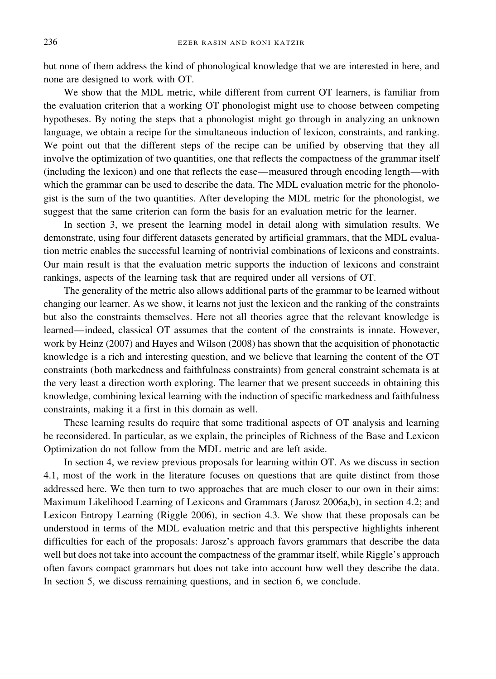but none of them address the kind of phonological knowledge that we are interested in here, and none are designed to work with OT.

We show that the MDL metric, while different from current OT learners, is familiar from the evaluation criterion that a working OT phonologist might use to choose between competing hypotheses. By noting the steps that a phonologist might go through in analyzing an unknown language, we obtain a recipe for the simultaneous induction of lexicon, constraints, and ranking. We point out that the different steps of the recipe can be unified by observing that they all involve the optimization of two quantities, one that reflects the compactness of the grammar itself (including the lexicon) and one that reflects the ease—measured through encoding length—with which the grammar can be used to describe the data. The MDL evaluation metric for the phonologist is the sum of the two quantities. After developing the MDL metric for the phonologist, we suggest that the same criterion can form the basis for an evaluation metric for the learner.

In section 3, we present the learning model in detail along with simulation results. We demonstrate, using four different datasets generated by artificial grammars, that the MDL evaluation metric enables the successful learning of nontrivial combinations of lexicons and constraints. Our main result is that the evaluation metric supports the induction of lexicons and constraint rankings, aspects of the learning task that are required under all versions of OT.

The generality of the metric also allows additional parts of the grammar to be learned without changing our learner. As we show, it learns not just the lexicon and the ranking of the constraints but also the constraints themselves. Here not all theories agree that the relevant knowledge is learned—indeed, classical OT assumes that the content of the constraints is innate. However, work by Heinz (2007) and Hayes and Wilson (2008) has shown that the acquisition of phonotactic knowledge is a rich and interesting question, and we believe that learning the content of the OT constraints (both markedness and faithfulness constraints) from general constraint schemata is at the very least a direction worth exploring. The learner that we present succeeds in obtaining this knowledge, combining lexical learning with the induction of specific markedness and faithfulness constraints, making it a first in this domain as well.

These learning results do require that some traditional aspects of OT analysis and learning be reconsidered. In particular, as we explain, the principles of Richness of the Base and Lexicon Optimization do not follow from the MDL metric and are left aside.

In section 4, we review previous proposals for learning within OT. As we discuss in section 4.1, most of the work in the literature focuses on questions that are quite distinct from those addressed here. We then turn to two approaches that are much closer to our own in their aims: Maximum Likelihood Learning of Lexicons and Grammars (Jarosz 2006a,b), in section 4.2; and Lexicon Entropy Learning (Riggle 2006), in section 4.3. We show that these proposals can be understood in terms of the MDL evaluation metric and that this perspective highlights inherent difficulties for each of the proposals: Jarosz's approach favors grammars that describe the data well but does not take into account the compactness of the grammar itself, while Riggle's approach often favors compact grammars but does not take into account how well they describe the data. In section 5, we discuss remaining questions, and in section 6, we conclude.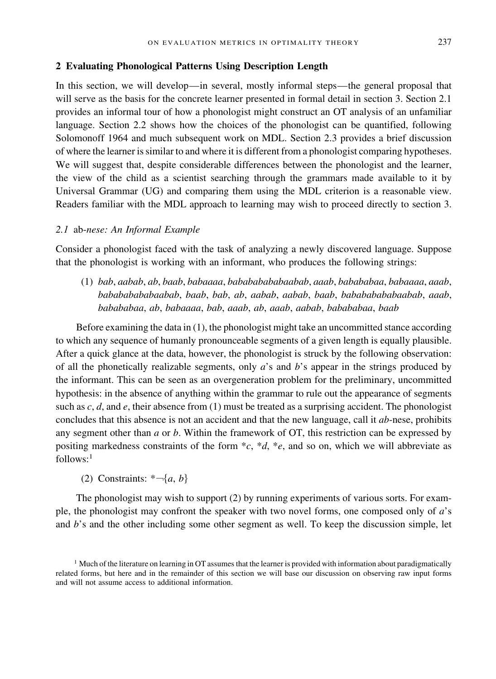# **2 Evaluating Phonological Patterns Using Description Length**

In this section, we will develop—in several, mostly informal steps—the general proposal that will serve as the basis for the concrete learner presented in formal detail in section 3. Section 2.1 provides an informal tour of how a phonologist might construct an OT analysis of an unfamiliar language. Section 2.2 shows how the choices of the phonologist can be quantified, following Solomonoff 1964 and much subsequent work on MDL. Section 2.3 provides a brief discussion of where the learner is similar to and where it is different from a phonologist comparing hypotheses. We will suggest that, despite considerable differences between the phonologist and the learner, the view of the child as a scientist searching through the grammars made available to it by Universal Grammar (UG) and comparing them using the MDL criterion is a reasonable view. Readers familiar with the MDL approach to learning may wish to proceed directly to section 3.

#### *2.1* ab-*nese: An Informal Example*

Consider a phonologist faced with the task of analyzing a newly discovered language. Suppose that the phonologist is working with an informant, who produces the following strings:

(1) *bab*, *aabab*, *ab*, *baab*, *babaaaa*, *babababababaabab*, *aaab*, *babababaa*, *babaaaa*, *aaab*, *babababababaabab*, *baab*, *bab*, *ab*, *aabab*, *aabab*, *baab*, *babababababaabab*, *aaab*, *babababaa*, *ab*, *babaaaa*, *bab*, *aaab*, *ab*, *aaab*, *aabab*, *babababaa*, *baab*

Before examining the data in (1), the phonologist might take an uncommitted stance according to which any sequence of humanly pronounceable segments of a given length is equally plausible. After a quick glance at the data, however, the phonologist is struck by the following observation: of all the phonetically realizable segments, only *a*'s and *b*'s appear in the strings produced by the informant. This can be seen as an overgeneration problem for the preliminary, uncommitted hypothesis: in the absence of anything within the grammar to rule out the appearance of segments such as *c*, *d*, and *e*, their absence from (1) must be treated as a surprising accident. The phonologist concludes that this absence is not an accident and that the new language, call it *ab*-nese, prohibits any segment other than *a* or *b*. Within the framework of OT, this restriction can be expressed by positing markedness constraints of the form \**c*, \**d*, \**e*, and so on, which we will abbreviate as  $follows:$ <sup>1</sup>

(2) Constraints:  $*\neg\{a, b\}$ 

The phonologist may wish to support (2) by running experiments of various sorts. For example, the phonologist may confront the speaker with two novel forms, one composed only of *a*'s and *b*'s and the other including some other segment as well. To keep the discussion simple, let

 $<sup>1</sup>$  Much of the literature on learning in OT assumes that the learner is provided with information about paradigmatically</sup> related forms, but here and in the remainder of this section we will base our discussion on observing raw input forms and will not assume access to additional information.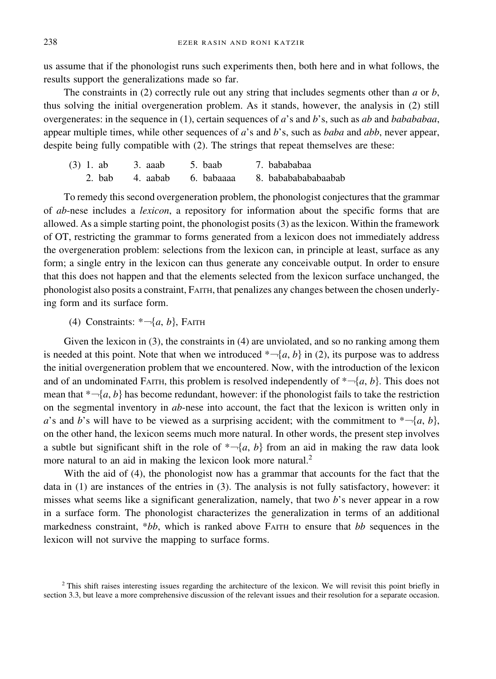us assume that if the phonologist runs such experiments then, both here and in what follows, the results support the generalizations made so far.

The constraints in (2) correctly rule out any string that includes segments other than *a* or *b*, thus solving the initial overgeneration problem. As it stands, however, the analysis in (2) still overgenerates: in the sequence in (1), certain sequences of *a*'s and *b*'s, such as *ab* and *babababaa*, appear multiple times, while other sequences of *a*'s and *b*'s, such as *baba* and *abb*, never appear, despite being fully compatible with (2). The strings that repeat themselves are these:

| $(3)$ 1. ab |        | 3. aaab  | 5. baab    | 7. babababaa        |
|-------------|--------|----------|------------|---------------------|
|             | 2. bab | 4. aabab | 6. babaaaa | 8. babababababaabab |

To remedy this second overgeneration problem, the phonologist conjectures that the grammar of *ab*-nese includes a *lexicon*, a repository for information about the specific forms that are allowed. As a simple starting point, the phonologist posits (3) as the lexicon. Within the framework of OT, restricting the grammar to forms generated from a lexicon does not immediately address the overgeneration problem: selections from the lexicon can, in principle at least, surface as any form; a single entry in the lexicon can thus generate any conceivable output. In order to ensure that this does not happen and that the elements selected from the lexicon surface unchanged, the phonologist also posits a constraint, FAITH, that penalizes any changes between the chosen underlying form and its surface form.

(4) Constraints:  $\ast \neg \{a, b\}$ , Faith

Given the lexicon in (3), the constraints in (4) are unviolated, and so no ranking among them is needed at this point. Note that when we introduced  $\sqrt[n]{a}$ , *b* in (2), its purpose was to address the initial overgeneration problem that we encountered. Now, with the introduction of the lexicon and of an undominated FAITH, this problem is resolved independently of  $\mathbf{A} = \{a, b\}$ . This does not mean that  $\mathbb{R} \setminus \{a, b\}$  has become redundant, however: if the phonologist fails to take the restriction on the segmental inventory in *ab*-nese into account, the fact that the lexicon is written only in *a*'s and *b*'s will have to be viewed as a surprising accident; with the commitment to  $* \neg \{a, b\}$ , on the other hand, the lexicon seems much more natural. In other words, the present step involves a subtle but significant shift in the role of  $\mathbb{R} \setminus \{a, b\}$  from an aid in making the raw data look more natural to an aid in making the lexicon look more natural.<sup>2</sup>

With the aid of (4), the phonologist now has a grammar that accounts for the fact that the data in (1) are instances of the entries in (3). The analysis is not fully satisfactory, however: it misses what seems like a significant generalization, namely, that two *b*'s never appear in a row in a surface form. The phonologist characterizes the generalization in terms of an additional markedness constraint, \**bb*, which is ranked above FAITH to ensure that *bb* sequences in the lexicon will not survive the mapping to surface forms.

<sup>&</sup>lt;sup>2</sup> This shift raises interesting issues regarding the architecture of the lexicon. We will revisit this point briefly in section 3.3, but leave a more comprehensive discussion of the relevant issues and their resolution for a separate occasion.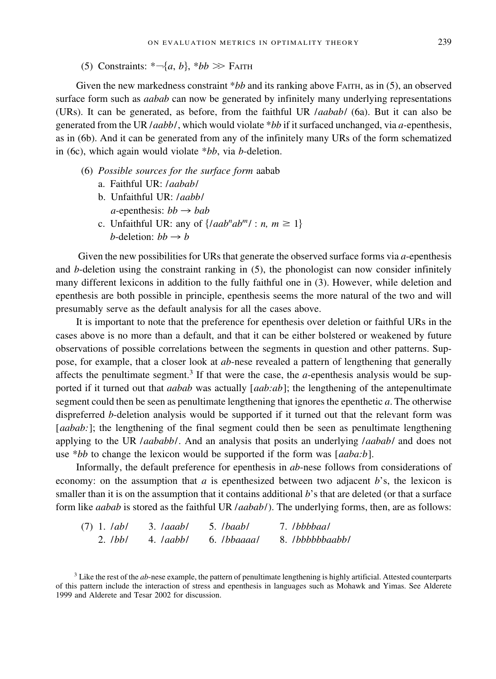(5) Constraints:  $*\neg \{a, b\}$ ,  $*bb \gg$  FAITH

Given the new markedness constraint \**bb* and its ranking above FAITH, as in (5), an observed surface form such as *aabab* can now be generated by infinitely many underlying representations (URs). It can be generated, as before, from the faithful UR /*aabab*/ (6a). But it can also be generated from the UR /*aabb*/, which would violate \**bb* if it surfaced unchanged, via *a*-epenthesis, as in (6b). And it can be generated from any of the infinitely many URs of the form schematized in (6c), which again would violate \**bb*, via *b*-deletion.

- (6) *Possible sources for the surface form* aabab
	- a. Faithful UR: /*aabab*/
	- b. Unfaithful UR: /*aabb*/ *a*-epenthesis:  $bb \rightarrow bab$
	- c. Unfaithful UR: any of  $\{/aab<sup>n</sup>ab<sup>m</sup> / : n, m \ge 1\}$ *b*-deletion:  $bb \rightarrow b$

Given the new possibilities for URs that generate the observed surface forms via *a*-epenthesis and *b*-deletion using the constraint ranking in (5), the phonologist can now consider infinitely many different lexicons in addition to the fully faithful one in (3). However, while deletion and epenthesis are both possible in principle, epenthesis seems the more natural of the two and will presumably serve as the default analysis for all the cases above.

It is important to note that the preference for epenthesis over deletion or faithful URs in the cases above is no more than a default, and that it can be either bolstered or weakened by future observations of possible correlations between the segments in question and other patterns. Suppose, for example, that a closer look at *ab*-nese revealed a pattern of lengthening that generally affects the penultimate segment.<sup>3</sup> If that were the case, the *a*-epenthesis analysis would be supported if it turned out that *aabab* was actually [*aab:ab*]; the lengthening of the antepenultimate segment could then be seen as penultimate lengthening that ignores the epenthetic *a*. The otherwise dispreferred *b*-deletion analysis would be supported if it turned out that the relevant form was [*aabab*:]; the lengthening of the final segment could then be seen as penultimate lengthening applying to the UR /*aababb*/. And an analysis that posits an underlying /*aabab*/ and does not use \**bb* to change the lexicon would be supported if the form was [*aaba:b*].

Informally, the default preference for epenthesis in *ab*-nese follows from considerations of economy: on the assumption that *a* is epenthesized between two adjacent *b*'s, the lexicon is smaller than it is on the assumption that it contains additional *b*'s that are deleted (or that a surface form like *aabab* is stored as the faithful UR /*aabab*/). The underlying forms, then, are as follows:

| $(7)$ 1. <i>(ab)</i> | $3. \  aaab $ | 5. <i>(baab)</i>   | 7. <i>Ibbbbaal</i>     |
|----------------------|---------------|--------------------|------------------------|
| $2.$ <i>(bb)</i>     | 4. laabbl     | 6. <i>(bbaaaa)</i> | 8. <i>(bbbbbbaabb)</i> |

<sup>3</sup> Like the rest of the *ab*-nese example, the pattern of penultimate lengthening is highly artificial. Attested counterparts of this pattern include the interaction of stress and epenthesis in languages such as Mohawk and Yimas. See Alderete 1999 and Alderete and Tesar 2002 for discussion.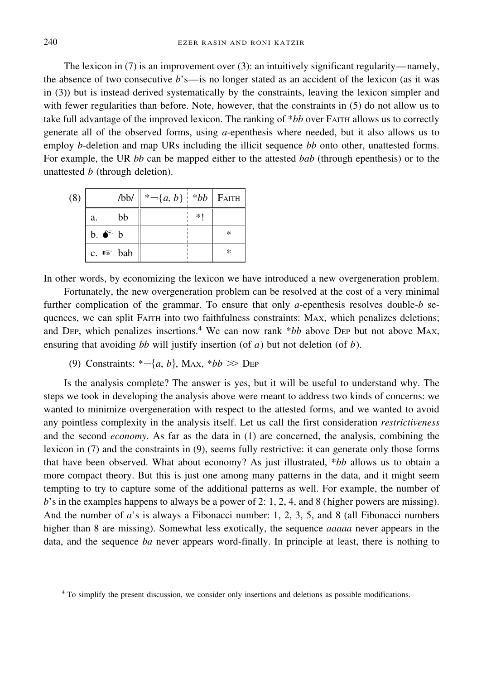The lexicon in (7) is an improvement over (3): an intuitively significant regularity—namely, the absence of two consecutive *b*'s—is no longer stated as an accident of the lexicon (as it was in (3)) but is instead derived systematically by the constraints, leaving the lexicon simpler and with fewer regularities than before. Note, however, that the constraints in (5) do not allow us to take full advantage of the improved lexicon. The ranking of \**bb* over FAITH allows us to correctly generate all of the observed forms, using *a*-epenthesis where needed, but it also allows us to employ *b*-deletion and map URs including the illicit sequence *bb* onto other, unattested forms. For example, the UR *bb* can be mapped either to the attested *bab* (through epenthesis) or to the unattested *b* (through deletion).

| (8) |                     |    | /bb/ $\ \cdot -\{a, b\}\ $ *bb $\ $ Faith |      |        |
|-----|---------------------|----|-------------------------------------------|------|--------|
|     | a.                  | bb |                                           | $*1$ |        |
|     | $b.$ $\bullet$ $b$  |    |                                           |      | $\ast$ |
|     | c. $\mathbb{R}$ bab |    |                                           |      | $\ast$ |

In other words, by economizing the lexicon we have introduced a new overgeneration problem.

Fortunately, the new overgeneration problem can be resolved at the cost of a very minimal further complication of the grammar. To ensure that only *a*-epenthesis resolves double-*b* sequences, we can split FAITH into two faithfulness constraints: MAX, which penalizes deletions; and D<sub>EP</sub>, which penalizes insertions.<sup>4</sup> We can now rank  $*bb$  above DEP but not above MAX, ensuring that avoiding *bb* will justify insertion (of *a*) but not deletion (of *b*).

(9) Constraints:  $*\neg \{a, b\}$ , MAX,  $*bb \gg DeP$ 

Is the analysis complete? The answer is yes, but it will be useful to understand why. The steps we took in developing the analysis above were meant to address two kinds of concerns: we wanted to minimize overgeneration with respect to the attested forms, and we wanted to avoid any pointless complexity in the analysis itself. Let us call the first consideration *restrictiveness* and the second *economy*. As far as the data in (1) are concerned, the analysis, combining the lexicon in (7) and the constraints in (9), seems fully restrictive: it can generate only those forms that have been observed. What about economy? As just illustrated, \**bb* allows us to obtain a more compact theory. But this is just one among many patterns in the data, and it might seem tempting to try to capture some of the additional patterns as well. For example, the number of *b*'s in the examples happens to always be a power of 2: 1, 2, 4, and 8 (higher powers are missing). And the number of *a*'s is always a Fibonacci number: 1, 2, 3, 5, and 8 (all Fibonacci numbers higher than 8 are missing). Somewhat less exotically, the sequence *aaaaa* never appears in the data, and the sequence *ba* never appears word-finally. In principle at least, there is nothing to

<sup>&</sup>lt;sup>4</sup> To simplify the present discussion, we consider only insertions and deletions as possible modifications.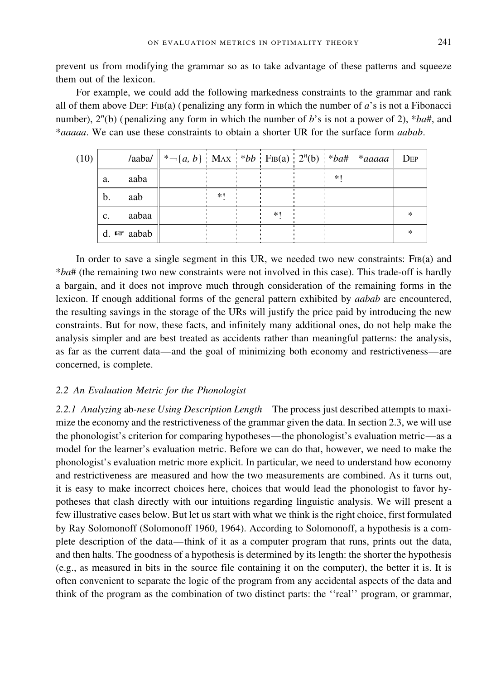prevent us from modifying the grammar so as to take advantage of these patterns and squeeze them out of the lexicon.

For example, we could add the following markedness constraints to the grammar and rank all of them above DEP: FIB(a) (penalizing any form in which the number of  $a$ 's is not a Fibonacci number), 2*<sup>n</sup>* (b) (penalizing any form in which the number of *b*'s is not a power of 2), \**ba*#, and \**aaaaa*. We can use these constraints to obtain a shorter UR for the surface form *aabab*.

| (10) |    |                       | /aaba/ $\ \ast_{\neg} \{a, b\}$   MAX   *bb   FIB(a)   2 <sup>n</sup> (b)   *ba#   *aaaaa   DEP |      |      |     |   |
|------|----|-----------------------|-------------------------------------------------------------------------------------------------|------|------|-----|---|
|      | a. | aaba                  |                                                                                                 |      |      | $*$ |   |
|      | b. | aab                   |                                                                                                 | $*1$ |      |     |   |
|      | c. | aabaa                 |                                                                                                 |      | $*1$ |     | ∗ |
|      |    | d. $\mathbb{R}$ aabab |                                                                                                 |      |      |     | ∗ |

In order to save a single segment in this UR, we needed two new constraints:  $FIB(a)$  and \**ba*# (the remaining two new constraints were not involved in this case). This trade-off is hardly a bargain, and it does not improve much through consideration of the remaining forms in the lexicon. If enough additional forms of the general pattern exhibited by *aabab* are encountered, the resulting savings in the storage of the URs will justify the price paid by introducing the new constraints. But for now, these facts, and infinitely many additional ones, do not help make the analysis simpler and are best treated as accidents rather than meaningful patterns: the analysis, as far as the current data—and the goal of minimizing both economy and restrictiveness—are concerned, is complete.

# *2.2 An Evaluation Metric for the Phonologist*

*2.2.1 Analyzing* ab*-nese Using Description Length* The process just described attempts to maximize the economy and the restrictiveness of the grammar given the data. In section 2.3, we will use the phonologist's criterion for comparing hypotheses—the phonologist's evaluation metric—as a model for the learner's evaluation metric. Before we can do that, however, we need to make the phonologist's evaluation metric more explicit. In particular, we need to understand how economy and restrictiveness are measured and how the two measurements are combined. As it turns out, it is easy to make incorrect choices here, choices that would lead the phonologist to favor hypotheses that clash directly with our intuitions regarding linguistic analysis. We will present a few illustrative cases below. But let us start with what we think is the right choice, first formulated by Ray Solomonoff (Solomonoff 1960, 1964). According to Solomonoff, a hypothesis is a complete description of the data—think of it as a computer program that runs, prints out the data, and then halts. The goodness of a hypothesis is determined by its length: the shorter the hypothesis (e.g., as measured in bits in the source file containing it on the computer), the better it is. It is often convenient to separate the logic of the program from any accidental aspects of the data and think of the program as the combination of two distinct parts: the ''real'' program, or grammar,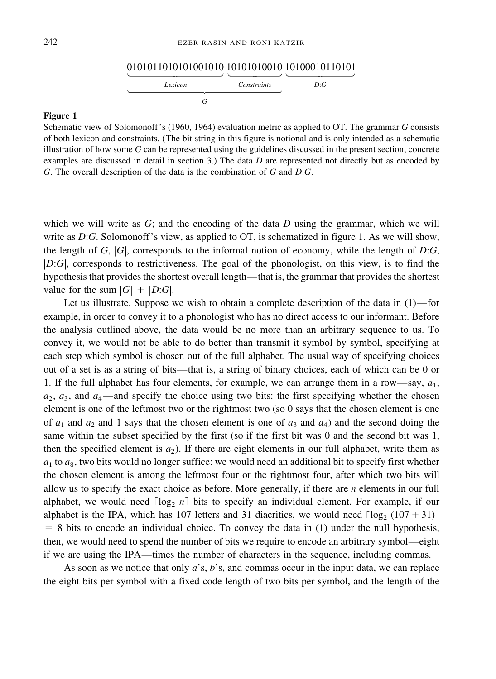0101011010101001010 10101010010 10100010110101



#### **Figure 1**

Schematic view of Solomonoff's (1960, 1964) evaluation metric as applied to OT. The grammar *G* consists of both lexicon and constraints. (The bit string in this figure is notional and is only intended as a schematic illustration of how some *G* can be represented using the guidelines discussed in the present section; concrete examples are discussed in detail in section 3.) The data *D* are represented not directly but as encoded by *G*. The overall description of the data is the combination of *G* and *D*:*G*.

which we will write as  $G$ ; and the encoding of the data  $D$  using the grammar, which we will write as *D*:*G*. Solomonoff's view, as applied to OT, is schematized in figure 1. As we will show, the length of *G*, |*G*|, corresponds to the informal notion of economy, while the length of *D*:*G*, |*D*:*G*|, corresponds to restrictiveness. The goal of the phonologist, on this view, is to find the hypothesis that provides the shortest overall length—that is, the grammar that provides the shortest value for the sum  $|G| + |D:G|$ .

Let us illustrate. Suppose we wish to obtain a complete description of the data in (1)—for example, in order to convey it to a phonologist who has no direct access to our informant. Before the analysis outlined above, the data would be no more than an arbitrary sequence to us. To convey it, we would not be able to do better than transmit it symbol by symbol, specifying at each step which symbol is chosen out of the full alphabet. The usual way of specifying choices out of a set is as a string of bits—that is, a string of binary choices, each of which can be 0 or 1. If the full alphabet has four elements, for example, we can arrange them in a row—say, *a*1,  $a_2$ ,  $a_3$ , and  $a_4$ —and specify the choice using two bits: the first specifying whether the chosen element is one of the leftmost two or the rightmost two (so 0 says that the chosen element is one of  $a_1$  and  $a_2$  and 1 says that the chosen element is one of  $a_3$  and  $a_4$ ) and the second doing the same within the subset specified by the first (so if the first bit was 0 and the second bit was 1, then the specified element is  $a_2$ ). If there are eight elements in our full alphabet, write them as  $a_1$  to  $a_8$ , two bits would no longer suffice: we would need an additional bit to specify first whether the chosen element is among the leftmost four or the rightmost four, after which two bits will allow us to specify the exact choice as before. More generally, if there are *n* elements in our full alphabet, we would need  $\lceil \log_2 n \rceil$  bits to specify an individual element. For example, if our alphabet is the IPA, which has 107 letters and 31 diacritics, we would need  $\lceil \log_2(107+31) \rceil$  $8$  bits to encode an individual choice. To convey the data in (1) under the null hypothesis, then, we would need to spend the number of bits we require to encode an arbitrary symbol—eight if we are using the IPA—times the number of characters in the sequence, including commas.

As soon as we notice that only *a*'s, *b*'s, and commas occur in the input data, we can replace the eight bits per symbol with a fixed code length of two bits per symbol, and the length of the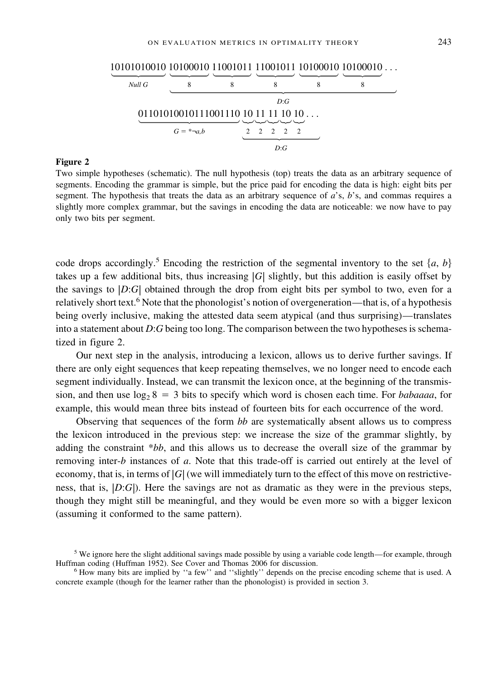

#### 10101010010 10100010 11001011 11001011 10100010 10100010 . . .

#### **Figure 2**

Two simple hypotheses (schematic). The null hypothesis (top) treats the data as an arbitrary sequence of segments. Encoding the grammar is simple, but the price paid for encoding the data is high: eight bits per segment. The hypothesis that treats the data as an arbitrary sequence of *a*'s, *b*'s, and commas requires a slightly more complex grammar, but the savings in encoding the data are noticeable: we now have to pay only two bits per segment.

code drops accordingly.<sup>5</sup> Encoding the restriction of the segmental inventory to the set  $\{a, b\}$ takes up a few additional bits, thus increasing |*G*| slightly, but this addition is easily offset by the savings to |*D*:*G*| obtained through the drop from eight bits per symbol to two, even for a relatively short text.<sup>6</sup> Note that the phonologist's notion of overgeneration—that is, of a hypothesis being overly inclusive, making the attested data seem atypical (and thus surprising)—translates into a statement about *D*:*G* being too long. The comparison between the two hypotheses is schematized in figure 2.

Our next step in the analysis, introducing a lexicon, allows us to derive further savings. If there are only eight sequences that keep repeating themselves, we no longer need to encode each segment individually. Instead, we can transmit the lexicon once, at the beginning of the transmission, and then use  $\log_2 8 = 3$  bits to specify which word is chosen each time. For *babaaaa*, for example, this would mean three bits instead of fourteen bits for each occurrence of the word.

Observing that sequences of the form *bb* are systematically absent allows us to compress the lexicon introduced in the previous step: we increase the size of the grammar slightly, by adding the constraint \**bb*, and this allows us to decrease the overall size of the grammar by removing inter-*b* instances of *a*. Note that this trade-off is carried out entirely at the level of economy, that is, in terms of  $|G|$  (we will immediately turn to the effect of this move on restrictiveness, that is, |*D*:*G*|). Here the savings are not as dramatic as they were in the previous steps, though they might still be meaningful, and they would be even more so with a bigger lexicon (assuming it conformed to the same pattern).

<sup>&</sup>lt;sup>5</sup> We ignore here the slight additional savings made possible by using a variable code length—for example, through Huffman coding (Huffman 1952). See Cover and Thomas 2006 for discussion.<br><sup>6</sup> How many bits are implied by "a few" and "slightly" depends on the precise encoding scheme that is used. A

concrete example (though for the learner rather than the phonologist) is provided in section 3.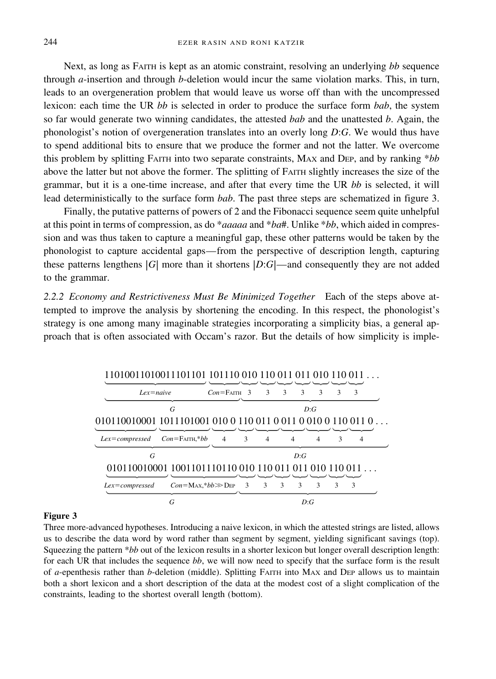Next, as long as FAITH is kept as an atomic constraint, resolving an underlying *bb* sequence through *a*-insertion and through *b*-deletion would incur the same violation marks. This, in turn, leads to an overgeneration problem that would leave us worse off than with the uncompressed lexicon: each time the UR *bb* is selected in order to produce the surface form *bab*, the system so far would generate two winning candidates, the attested *bab* and the unattested *b*. Again, the phonologist's notion of overgeneration translates into an overly long *D*:*G*. We would thus have to spend additional bits to ensure that we produce the former and not the latter. We overcome this problem by splitting FAITH into two separate constraints, MAX and DEP, and by ranking \**bb* above the latter but not above the former. The splitting of FAITH slightly increases the size of the grammar, but it is a one-time increase, and after that every time the UR *bb* is selected, it will lead deterministically to the surface form *bab*. The past three steps are schematized in figure 3.

Finally, the putative patterns of powers of 2 and the Fibonacci sequence seem quite unhelpful at this point in terms of compression, as do \**aaaaa* and \**ba*#. Unlike \**bb*, which aided in compression and was thus taken to capture a meaningful gap, these other patterns would be taken by the phonologist to capture accidental gaps—from the perspective of description length, capturing these patterns lengthens  $|G|$  more than it shortens  $|D:G|$ —and consequently they are not added to the grammar.

*2.2.2 Economy and Restrictiveness Must Be Minimized Together* Each of the steps above attempted to improve the analysis by shortening the encoding. In this respect, the phonologist's strategy is one among many imaginable strategies incorporating a simplicity bias, a general approach that is often associated with Occam's razor. But the details of how simplicity is imple-

|  |                                   |   | 11010011010011101101 101110 010 110 011 011 010 110 011       |              |   |                |              |     |              |   |  |
|--|-----------------------------------|---|---------------------------------------------------------------|--------------|---|----------------|--------------|-----|--------------|---|--|
|  | $Lex = naive$                     |   | $Con =$ FAITH 3                                               |              | 3 | $\mathbf{3}$   | $\mathbf{3}$ | 3   | $\mathbf{3}$ | 3 |  |
|  |                                   | G |                                                               |              |   |                |              | D:G |              |   |  |
|  |                                   |   | 010110010001 1011101001 010 0 110 011 0 011 0 010 0 110 011 0 |              |   |                |              |     |              |   |  |
|  | $Lex=compressed$ $Con=FATTH, *bb$ |   | $\overline{4}$                                                | 3            | 4 | $\overline{4}$ |              |     | $\mathbf{3}$ | 4 |  |
|  | G                                 |   |                                                               |              |   |                | D:G          |     |              |   |  |
|  |                                   |   | 010110010001 1001101110110 010 110 011 011 010 110 011        |              |   |                |              |     |              |   |  |
|  | $Lex=compressed$                  |   | $Con=\text{MAX.*}bb\gg \text{Dep}$                            | $\mathbf{3}$ | 3 | 3              | $\mathbf{3}$ |     | ٩            | 3 |  |
|  |                                   |   |                                                               | D:G          |   |                |              |     |              |   |  |

#### **Figure 3**

Three more-advanced hypotheses. Introducing a naive lexicon, in which the attested strings are listed, allows us to describe the data word by word rather than segment by segment, yielding significant savings (top). Squeezing the pattern \**bb* out of the lexicon results in a shorter lexicon but longer overall description length: for each UR that includes the sequence *bb*, we will now need to specify that the surface form is the result of *a*-epenthesis rather than *b*-deletion (middle). Splitting FAITH into MAX and DEP allows us to maintain both a short lexicon and a short description of the data at the modest cost of a slight complication of the constraints, leading to the shortest overall length (bottom).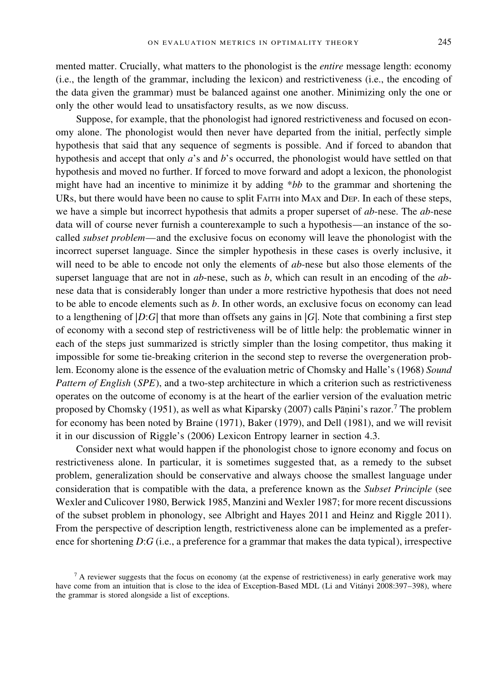mented matter. Crucially, what matters to the phonologist is the *entire* message length: economy (i.e., the length of the grammar, including the lexicon) and restrictiveness (i.e., the encoding of the data given the grammar) must be balanced against one another. Minimizing only the one or only the other would lead to unsatisfactory results, as we now discuss.

Suppose, for example, that the phonologist had ignored restrictiveness and focused on economy alone. The phonologist would then never have departed from the initial, perfectly simple hypothesis that said that any sequence of segments is possible. And if forced to abandon that hypothesis and accept that only *a*'s and *b*'s occurred, the phonologist would have settled on that hypothesis and moved no further. If forced to move forward and adopt a lexicon, the phonologist might have had an incentive to minimize it by adding \**bb* to the grammar and shortening the URs, but there would have been no cause to split FAITH into MAX and DEP. In each of these steps, we have a simple but incorrect hypothesis that admits a proper superset of *ab*-nese. The *ab*-nese data will of course never furnish a counterexample to such a hypothesis—an instance of the socalled *subset problem*—and the exclusive focus on economy will leave the phonologist with the incorrect superset language. Since the simpler hypothesis in these cases is overly inclusive, it will need to be able to encode not only the elements of *ab*-nese but also those elements of the superset language that are not in *ab*-nese, such as *b*, which can result in an encoding of the *ab*nese data that is considerably longer than under a more restrictive hypothesis that does not need to be able to encode elements such as *b*. In other words, an exclusive focus on economy can lead to a lengthening of |*D*:*G*| that more than offsets any gains in |*G*|. Note that combining a first step of economy with a second step of restrictiveness will be of little help: the problematic winner in each of the steps just summarized is strictly simpler than the losing competitor, thus making it impossible for some tie-breaking criterion in the second step to reverse the overgeneration problem. Economy alone is the essence of the evaluation metric of Chomsky and Halle's (1968) *Sound Pattern of English* (*SPE*), and a two-step architecture in which a criterion such as restrictiveness operates on the outcome of economy is at the heart of the earlier version of the evaluation metric proposed by Chomsky (1951), as well as what Kiparsky (2007) calls Pāṇini's razor.<sup>7</sup> The problem for economy has been noted by Braine (1971), Baker (1979), and Dell (1981), and we will revisit it in our discussion of Riggle's (2006) Lexicon Entropy learner in section 4.3.

Consider next what would happen if the phonologist chose to ignore economy and focus on restrictiveness alone. In particular, it is sometimes suggested that, as a remedy to the subset problem, generalization should be conservative and always choose the smallest language under consideration that is compatible with the data, a preference known as the *Subset Principle* (see Wexler and Culicover 1980, Berwick 1985, Manzini and Wexler 1987; for more recent discussions of the subset problem in phonology, see Albright and Hayes 2011 and Heinz and Riggle 2011). From the perspective of description length, restrictiveness alone can be implemented as a preference for shortening *D*:*G* (i.e., a preference for a grammar that makes the data typical), irrespective

 $<sup>7</sup>$  A reviewer suggests that the focus on economy (at the expense of restrictiveness) in early generative work may</sup> have come from an intuition that is close to the idea of Exception-Based MDL (Li and Vitányi 2008:397–398), where the grammar is stored alongside a list of exceptions.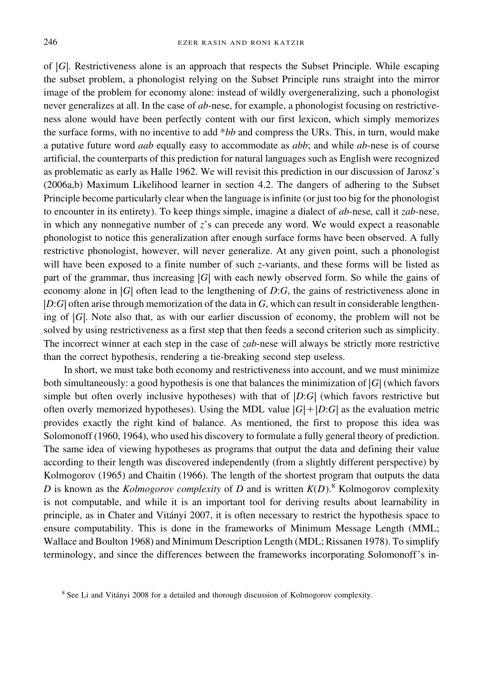of |*G*|. Restrictiveness alone is an approach that respects the Subset Principle. While escaping the subset problem, a phonologist relying on the Subset Principle runs straight into the mirror image of the problem for economy alone: instead of wildly overgeneralizing, such a phonologist never generalizes at all. In the case of *ab*-nese, for example, a phonologist focusing on restrictiveness alone would have been perfectly content with our first lexicon, which simply memorizes the surface forms, with no incentive to add \**bb* and compress the URs. This, in turn, would make a putative future word *aab* equally easy to accommodate as *abb*; and while *ab*-nese is of course artificial, the counterparts of this prediction for natural languages such as English were recognized as problematic as early as Halle 1962. We will revisit this prediction in our discussion of Jarosz's (2006a,b) Maximum Likelihood learner in section 4.2. The dangers of adhering to the Subset Principle become particularly clear when the language is infinite (or just too big for the phonologist to encounter in its entirety). To keep things simple, imagine a dialect of *ab*-nese, call it *zab*-nese, in which any nonnegative number of *z*'s can precede any word. We would expect a reasonable phonologist to notice this generalization after enough surface forms have been observed. A fully restrictive phonologist, however, will never generalize. At any given point, such a phonologist will have been exposed to a finite number of such *z*-variants, and these forms will be listed as part of the grammar, thus increasing |*G*| with each newly observed form. So while the gains of economy alone in |*G*| often lead to the lengthening of *D*:*G*, the gains of restrictiveness alone in |*D*:*G*| often arise through memorization of the data in *G*, which can result in considerable lengthening of |*G*|. Note also that, as with our earlier discussion of economy, the problem will not be solved by using restrictiveness as a first step that then feeds a second criterion such as simplicity. The incorrect winner at each step in the case of *zab*-nese will always be strictly more restrictive than the correct hypothesis, rendering a tie-breaking second step useless.

In short, we must take both economy and restrictiveness into account, and we must minimize both simultaneously: a good hypothesis is one that balances the minimization of |*G*| (which favors simple but often overly inclusive hypotheses) with that of |*D*:*G*| (which favors restrictive but often overly memorized hypotheses). Using the MDL value  $|G| + |D:G|$  as the evaluation metric provides exactly the right kind of balance. As mentioned, the first to propose this idea was Solomonoff (1960, 1964), who used his discovery to formulate a fully general theory of prediction. The same idea of viewing hypotheses as programs that output the data and defining their value according to their length was discovered independently (from a slightly different perspective) by Kolmogorov (1965) and Chaitin (1966). The length of the shortest program that outputs the data *D* is known as the *Kolmogorov complexity* of *D* and is written  $K(D)$ .<sup>8</sup> Kolmogorov complexity is not computable, and while it is an important tool for deriving results about learnability in principle, as in Chater and Vitányi 2007, it is often necessary to restrict the hypothesis space to ensure computability. This is done in the frameworks of Minimum Message Length (MML; Wallace and Boulton 1968) and Minimum Description Length (MDL; Rissanen 1978). To simplify terminology, and since the differences between the frameworks incorporating Solomonoff's in-

<sup>&</sup>lt;sup>8</sup> See Li and Vitányi 2008 for a detailed and thorough discussion of Kolmogorov complexity.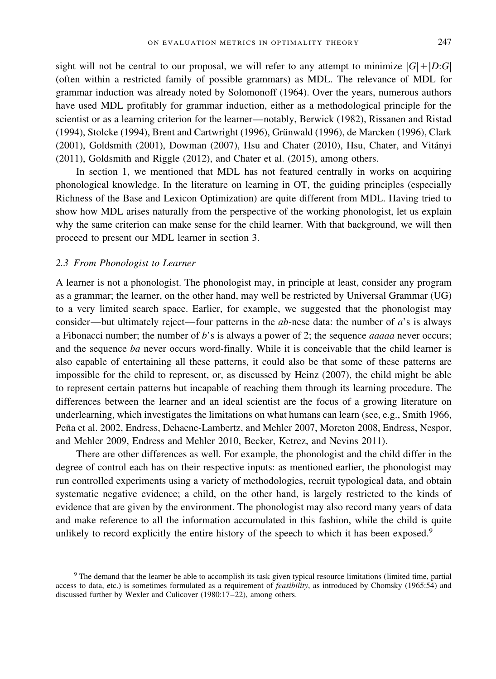sight will not be central to our proposal, we will refer to any attempt to minimize  $|G| + |D:G|$ (often within a restricted family of possible grammars) as MDL. The relevance of MDL for grammar induction was already noted by Solomonoff (1964). Over the years, numerous authors have used MDL profitably for grammar induction, either as a methodological principle for the scientist or as a learning criterion for the learner—notably, Berwick (1982), Rissanen and Ristad (1994), Stolcke (1994), Brent and Cartwright (1996), Grünwald (1996), de Marcken (1996), Clark (2001), Goldsmith (2001), Dowman (2007), Hsu and Chater (2010), Hsu, Chater, and Vitányi (2011), Goldsmith and Riggle (2012), and Chater et al. (2015), among others.

In section 1, we mentioned that MDL has not featured centrally in works on acquiring phonological knowledge. In the literature on learning in OT, the guiding principles (especially Richness of the Base and Lexicon Optimization) are quite different from MDL. Having tried to show how MDL arises naturally from the perspective of the working phonologist, let us explain why the same criterion can make sense for the child learner. With that background, we will then proceed to present our MDL learner in section 3.

# *2.3 From Phonologist to Learner*

A learner is not a phonologist. The phonologist may, in principle at least, consider any program as a grammar; the learner, on the other hand, may well be restricted by Universal Grammar (UG) to a very limited search space. Earlier, for example, we suggested that the phonologist may consider—but ultimately reject—four patterns in the *ab*-nese data: the number of *a*'s is always a Fibonacci number; the number of *b*'s is always a power of 2; the sequence *aaaaa* never occurs; and the sequence *ba* never occurs word-finally. While it is conceivable that the child learner is also capable of entertaining all these patterns, it could also be that some of these patterns are impossible for the child to represent, or, as discussed by Heinz (2007), the child might be able to represent certain patterns but incapable of reaching them through its learning procedure. The differences between the learner and an ideal scientist are the focus of a growing literature on underlearning, which investigates the limitations on what humans can learn (see, e.g., Smith 1966, Peña et al. 2002, Endress, Dehaene-Lambertz, and Mehler 2007, Moreton 2008, Endress, Nespor, and Mehler 2009, Endress and Mehler 2010, Becker, Ketrez, and Nevins 2011).

There are other differences as well. For example, the phonologist and the child differ in the degree of control each has on their respective inputs: as mentioned earlier, the phonologist may run controlled experiments using a variety of methodologies, recruit typological data, and obtain systematic negative evidence; a child, on the other hand, is largely restricted to the kinds of evidence that are given by the environment. The phonologist may also record many years of data and make reference to all the information accumulated in this fashion, while the child is quite unlikely to record explicitly the entire history of the speech to which it has been exposed.<sup>9</sup>

<sup>&</sup>lt;sup>9</sup> The demand that the learner be able to accomplish its task given typical resource limitations (limited time, partial access to data, etc.) is sometimes formulated as a requirement of *feasibility*, as introduced by Chomsky (1965:54) and discussed further by Wexler and Culicover (1980:17–22), among others.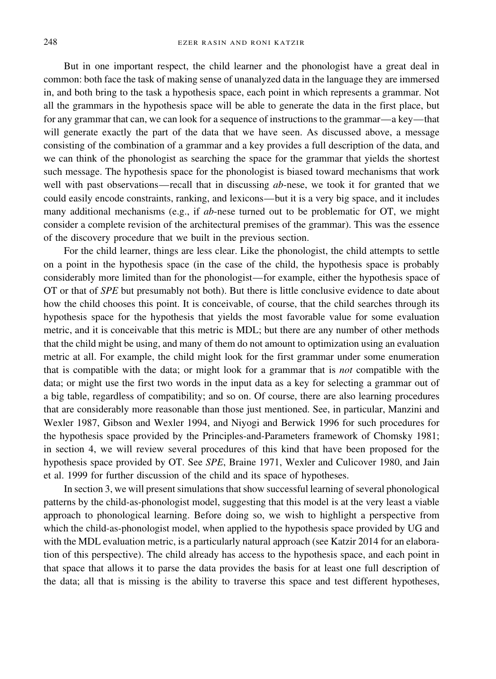But in one important respect, the child learner and the phonologist have a great deal in common: both face the task of making sense of unanalyzed data in the language they are immersed in, and both bring to the task a hypothesis space, each point in which represents a grammar. Not all the grammars in the hypothesis space will be able to generate the data in the first place, but for any grammar that can, we can look for a sequence of instructions to the grammar—a key—that will generate exactly the part of the data that we have seen. As discussed above, a message consisting of the combination of a grammar and a key provides a full description of the data, and we can think of the phonologist as searching the space for the grammar that yields the shortest such message. The hypothesis space for the phonologist is biased toward mechanisms that work well with past observations—recall that in discussing *ab*-nese, we took it for granted that we could easily encode constraints, ranking, and lexicons—but it is a very big space, and it includes many additional mechanisms (e.g., if *ab*-nese turned out to be problematic for OT, we might consider a complete revision of the architectural premises of the grammar). This was the essence of the discovery procedure that we built in the previous section.

For the child learner, things are less clear. Like the phonologist, the child attempts to settle on a point in the hypothesis space (in the case of the child, the hypothesis space is probably considerably more limited than for the phonologist—for example, either the hypothesis space of OT or that of *SPE* but presumably not both). But there is little conclusive evidence to date about how the child chooses this point. It is conceivable, of course, that the child searches through its hypothesis space for the hypothesis that yields the most favorable value for some evaluation metric, and it is conceivable that this metric is MDL; but there are any number of other methods that the child might be using, and many of them do not amount to optimization using an evaluation metric at all. For example, the child might look for the first grammar under some enumeration that is compatible with the data; or might look for a grammar that is *not* compatible with the data; or might use the first two words in the input data as a key for selecting a grammar out of a big table, regardless of compatibility; and so on. Of course, there are also learning procedures that are considerably more reasonable than those just mentioned. See, in particular, Manzini and Wexler 1987, Gibson and Wexler 1994, and Niyogi and Berwick 1996 for such procedures for the hypothesis space provided by the Principles-and-Parameters framework of Chomsky 1981; in section 4, we will review several procedures of this kind that have been proposed for the hypothesis space provided by OT. See *SPE*, Braine 1971, Wexler and Culicover 1980, and Jain et al. 1999 for further discussion of the child and its space of hypotheses.

In section 3, we will present simulations that show successful learning of several phonological patterns by the child-as-phonologist model, suggesting that this model is at the very least a viable approach to phonological learning. Before doing so, we wish to highlight a perspective from which the child-as-phonologist model, when applied to the hypothesis space provided by UG and with the MDL evaluation metric, is a particularly natural approach (see Katzir 2014 for an elaboration of this perspective). The child already has access to the hypothesis space, and each point in that space that allows it to parse the data provides the basis for at least one full description of the data; all that is missing is the ability to traverse this space and test different hypotheses,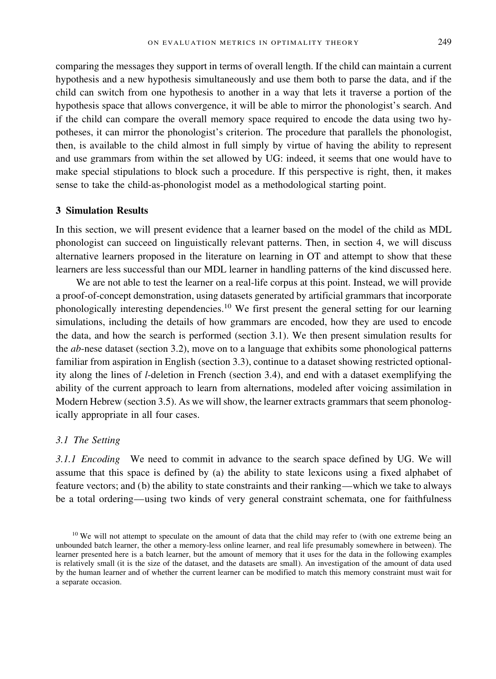comparing the messages they support in terms of overall length. If the child can maintain a current hypothesis and a new hypothesis simultaneously and use them both to parse the data, and if the child can switch from one hypothesis to another in a way that lets it traverse a portion of the hypothesis space that allows convergence, it will be able to mirror the phonologist's search. And if the child can compare the overall memory space required to encode the data using two hypotheses, it can mirror the phonologist's criterion. The procedure that parallels the phonologist, then, is available to the child almost in full simply by virtue of having the ability to represent and use grammars from within the set allowed by UG: indeed, it seems that one would have to make special stipulations to block such a procedure. If this perspective is right, then, it makes sense to take the child-as-phonologist model as a methodological starting point.

# **3 Simulation Results**

In this section, we will present evidence that a learner based on the model of the child as MDL phonologist can succeed on linguistically relevant patterns. Then, in section 4, we will discuss alternative learners proposed in the literature on learning in OT and attempt to show that these learners are less successful than our MDL learner in handling patterns of the kind discussed here.

We are not able to test the learner on a real-life corpus at this point. Instead, we will provide a proof-of-concept demonstration, using datasets generated by artificial grammars that incorporate phonologically interesting dependencies.<sup>10</sup> We first present the general setting for our learning simulations, including the details of how grammars are encoded, how they are used to encode the data, and how the search is performed (section 3.1). We then present simulation results for the *ab*-nese dataset (section 3.2), move on to a language that exhibits some phonological patterns familiar from aspiration in English (section 3.3), continue to a dataset showing restricted optionality along the lines of *l*-deletion in French (section 3.4), and end with a dataset exemplifying the ability of the current approach to learn from alternations, modeled after voicing assimilation in Modern Hebrew (section 3.5). As we will show, the learner extracts grammars that seem phonologically appropriate in all four cases.

# *3.1 The Setting*

*3.1.1 Encoding* We need to commit in advance to the search space defined by UG. We will assume that this space is defined by (a) the ability to state lexicons using a fixed alphabet of feature vectors; and (b) the ability to state constraints and their ranking—which we take to always be a total ordering—using two kinds of very general constraint schemata, one for faithfulness

<sup>&</sup>lt;sup>10</sup> We will not attempt to speculate on the amount of data that the child may refer to (with one extreme being an unbounded batch learner, the other a memory-less online learner, and real life presumably somewhere in between). The learner presented here is a batch learner, but the amount of memory that it uses for the data in the following examples is relatively small (it is the size of the dataset, and the datasets are small). An investigation of the amount of data used by the human learner and of whether the current learner can be modified to match this memory constraint must wait for a separate occasion.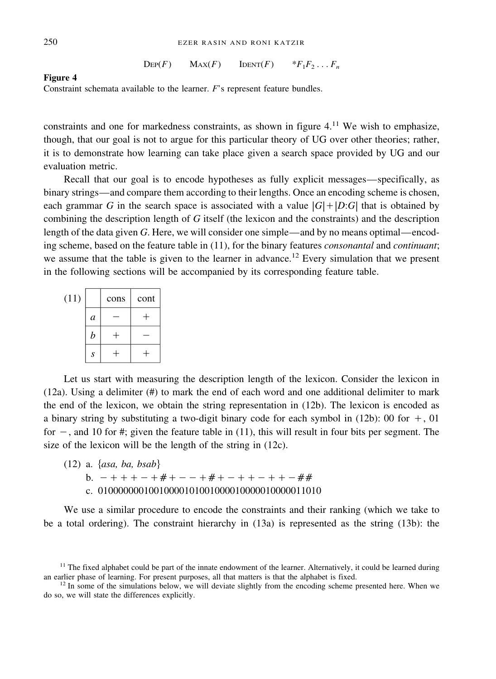$\text{Der}(F)$   $\text{Max}(F)$   $\text{IDENT}(F)$   $*F_1F_2 \ldots F_n$ 

#### **Figure 4**

Constraint schemata available to the learner. *F*'s represent feature bundles.

constraints and one for markedness constraints, as shown in figure  $4.11$  We wish to emphasize, though, that our goal is not to argue for this particular theory of UG over other theories; rather, it is to demonstrate how learning can take place given a search space provided by UG and our evaluation metric.

Recall that our goal is to encode hypotheses as fully explicit messages—specifically, as binary strings—and compare them according to their lengths. Once an encoding scheme is chosen, each grammar *G* in the search space is associated with a value  $|G| + |D:G|$  that is obtained by combining the description length of *G* itself (the lexicon and the constraints) and the description length of the data given *G*. Here, we will consider one simple—and by no means optimal—encoding scheme, based on the feature table in (11), for the binary features *consonantal* and *continuant*; we assume that the table is given to the learner in advance.<sup>12</sup> Every simulation that we present in the following sections will be accompanied by its corresponding feature table.

| (11) |                | cons | cont |
|------|----------------|------|------|
|      | a              |      |      |
|      | b              |      |      |
|      | $\overline{s}$ |      |      |

Let us start with measuring the description length of the lexicon. Consider the lexicon in (12a). Using a delimiter (#) to mark the end of each word and one additional delimiter to mark the end of the lexicon, we obtain the string representation in (12b). The lexicon is encoded as a binary string by substituting a two-digit binary code for each symbol in  $(12b)$ : 00 for  $+$ , 01 for  $-$ , and 10 for #; given the feature table in (11), this will result in four bits per segment. The size of the lexicon will be the length of the string in (12c).

- (12) a. -*asa, ba, bsab*
	- b.  $+ + + + # + - + # + + + + + ##$
	- c. 01000000010010000101001000010000010000011010

We use a similar procedure to encode the constraints and their ranking (which we take to be a total ordering). The constraint hierarchy in (13a) is represented as the string (13b): the

<sup>&</sup>lt;sup>11</sup> The fixed alphabet could be part of the innate endowment of the learner. Alternatively, it could be learned during an earlier phase of learning. For present purposes, all that matters is that the alphabet is fixed.

 $12$  In some of the simulations below, we will deviate slightly from the encoding scheme presented here. When we do so, we will state the differences explicitly.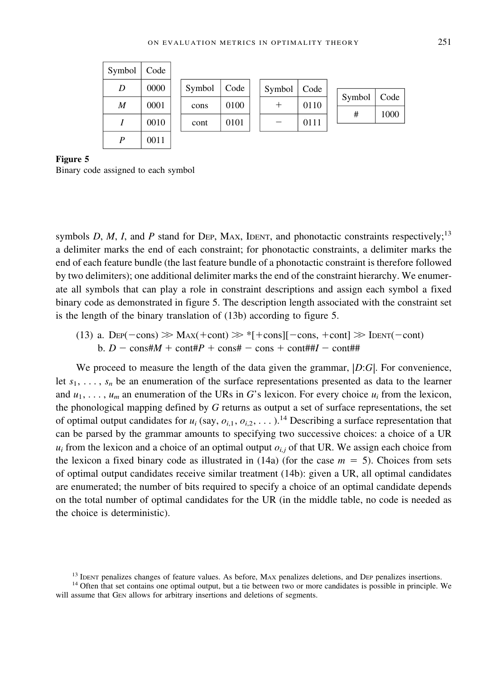| Symbol | Code |        |      |               |      |        |      |
|--------|------|--------|------|---------------|------|--------|------|
| D      | 0000 | Symbol | Code | Symbol   Code |      |        |      |
| M      | 0001 | cons   | 0100 |               | 0110 | Symbol | Code |
|        | 0010 | cont   | 0101 |               | 0111 | #      | 1000 |
| P      | 0011 |        |      |               |      |        |      |

**Figure 5** Binary code assigned to each symbol

symbols  $D$ ,  $M$ ,  $I$ , and  $P$  stand for DEP, MAX, IDENT, and phonotactic constraints respectively;<sup>13</sup> a delimiter marks the end of each constraint; for phonotactic constraints, a delimiter marks the end of each feature bundle (the last feature bundle of a phonotactic constraint is therefore followed by two delimiters); one additional delimiter marks the end of the constraint hierarchy. We enumerate all symbols that can play a role in constraint descriptions and assign each symbol a fixed binary code as demonstrated in figure 5. The description length associated with the constraint set is the length of the binary translation of (13b) according to figure 5.

(13) a. Dep( $-cons$ )  $\gg$  Max( $+cont$ )  $\gg$  \*[ $+cons$ ][ $-cons$ ,  $+cont$ ]  $\gg$  IDENT( $-cont$ )  $b. D - \text{const} + M + \text{cont} + P + \text{const} - \text{const} + \text{cont} + H - \text{cont} + H$ 

We proceed to measure the length of the data given the grammar, |*D*:*G*|. For convenience, let  $s_1, \ldots, s_n$  be an enumeration of the surface representations presented as data to the learner and  $u_1, \ldots, u_m$  an enumeration of the URs in *G*'s lexicon. For every choice  $u_i$  from the lexicon, the phonological mapping defined by *G* returns as output a set of surface representations, the set of optimal output candidates for  $u_i$  (say,  $o_{i,1}$ ,  $o_{i,2}$ , ...).<sup>14</sup> Describing a surface representation that can be parsed by the grammar amounts to specifying two successive choices: a choice of a UR  $u_i$  from the lexicon and a choice of an optimal output  $o_{i,j}$  of that UR. We assign each choice from the lexicon a fixed binary code as illustrated in  $(14a)$  (for the case  $m = 5$ ). Choices from sets of optimal output candidates receive similar treatment (14b): given a UR, all optimal candidates are enumerated; the number of bits required to specify a choice of an optimal candidate depends on the total number of optimal candidates for the UR (in the middle table, no code is needed as the choice is deterministic).

<sup>&</sup>lt;sup>13</sup> IDENT penalizes changes of feature values. As before, MAX penalizes deletions, and DEP penalizes insertions.<br><sup>14</sup> Often that set contains one optimal output, but a tie between two or more candidates is possible in pr will assume that GEN allows for arbitrary insertions and deletions of segments.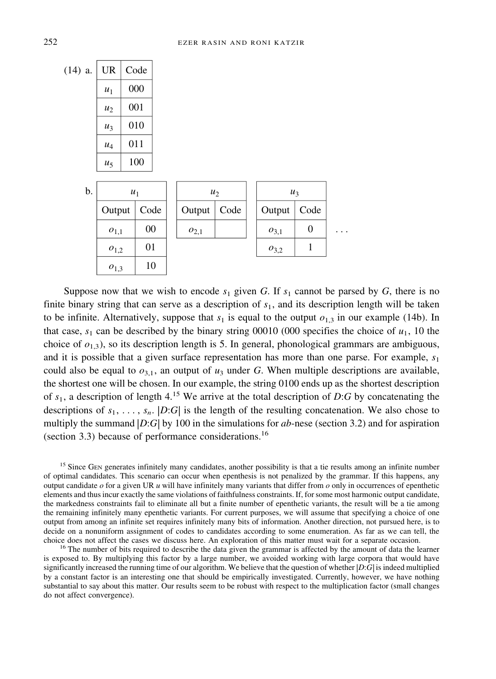

Suppose now that we wish to encode  $s_1$  given *G*. If  $s_1$  cannot be parsed by *G*, there is no finite binary string that can serve as a description of *s*1, and its description length will be taken to be infinite. Alternatively, suppose that  $s_1$  is equal to the output  $o_{1,3}$  in our example (14b). In that case,  $s_1$  can be described by the binary string 00010 (000 specifies the choice of  $u_1$ , 10 the choice of  $o_{1,3}$ ), so its description length is 5. In general, phonological grammars are ambiguous, and it is possible that a given surface representation has more than one parse. For example, *s*<sup>1</sup> could also be equal to  $o_{3,1}$ , an output of  $u_3$  under *G*. When multiple descriptions are available, the shortest one will be chosen. In our example, the string 0100 ends up as the shortest description of  $s_1$ , a description of length 4.<sup>15</sup> We arrive at the total description of *D*:*G* by concatenating the descriptions of  $s_1, \ldots, s_n$ .  $|D:G|$  is the length of the resulting concatenation. We also chose to multiply the summand |*D*:*G*| by 100 in the simulations for *ab*-nese (section 3.2) and for aspiration (section 3.3) because of performance considerations.<sup>16</sup>

<sup>15</sup> Since GEN generates infinitely many candidates, another possibility is that a tie results among an infinite number of optimal candidates. This scenario can occur when epenthesis is not penalized by the grammar. If this happens, any output candidate *o* for a given UR *u* will have infinitely many variants that differ from *o* only in occurrences of epenthetic elements and thus incur exactly the same violations of faithfulness constraints. If, for some most harmonic output candidate, the markedness constraints fail to eliminate all but a finite number of epenthetic variants, the result will be a tie among the remaining infinitely many epenthetic variants. For current purposes, we will assume that specifying a choice of one output from among an infinite set requires infinitely many bits of information. Another direction, not pursued here, is to decide on a nonuniform assignment of codes to candidates according to some enumeration. As far as we can tell, the choice does not affect the cases we discuss here. An exploration of this matter must wait for a separate occasion.<br><sup>16</sup> The number of bits required to describe the data given the grammar is affected by the amount of data t

is exposed to. By multiplying this factor by a large number, we avoided working with large corpora that would have significantly increased the running time of our algorithm. We believe that the question of whether |*D*:*G*| is indeed multiplied by a constant factor is an interesting one that should be empirically investigated. Currently, however, we have nothing substantial to say about this matter. Our results seem to be robust with respect to the multiplication factor (small changes do not affect convergence).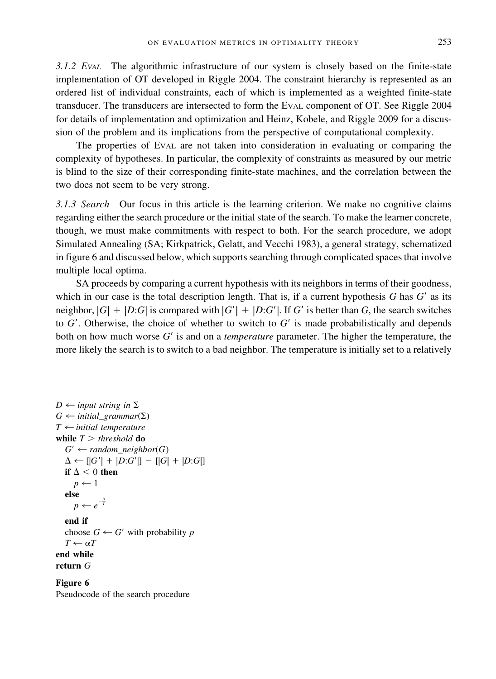*3.1.2 EVAL* The algorithmic infrastructure of our system is closely based on the finite-state implementation of OT developed in Riggle 2004. The constraint hierarchy is represented as an ordered list of individual constraints, each of which is implemented as a weighted finite-state transducer. The transducers are intersected to form the EVAL component of OT. See Riggle 2004 for details of implementation and optimization and Heinz, Kobele, and Riggle 2009 for a discussion of the problem and its implications from the perspective of computational complexity.

The properties of EVAL are not taken into consideration in evaluating or comparing the complexity of hypotheses. In particular, the complexity of constraints as measured by our metric is blind to the size of their corresponding finite-state machines, and the correlation between the two does not seem to be very strong.

*3.1.3 Search* Our focus in this article is the learning criterion. We make no cognitive claims regarding either the search procedure or the initial state of the search. To make the learner concrete, though, we must make commitments with respect to both. For the search procedure, we adopt Simulated Annealing (SA; Kirkpatrick, Gelatt, and Vecchi 1983), a general strategy, schematized in figure 6 and discussed below, which supports searching through complicated spaces that involve multiple local optima.

SA proceeds by comparing a current hypothesis with its neighbors in terms of their goodness, which in our case is the total description length. That is, if a current hypothesis  $G$  has  $G'$  as its neighbor,  $|G| + |D:G|$  is compared with  $|G'| + |D:G'|$ . If *G'* is better than *G*, the search switches to  $G'$ . Otherwise, the choice of whether to switch to  $G'$  is made probabilistically and depends both on how much worse *G* is and on a *temperature* parameter. The higher the temperature, the more likely the search is to switch to a bad neighbor. The temperature is initially set to a relatively

```
D \leftarrow input string in \SigmaG \leftarrow initial_grammar(\Sigma)
T \leftarrow initial temperature
while T > threshold do
   G' \leftarrow random\_neighbor(G)\Delta \leftarrow [[G'] + [D:G']] - [[G] + [D:G]]if \Delta < 0 then
      p \leftarrow 1else
       p \leftarrow e^{-\frac{\Delta}{T}}end if
   choose G \leftarrow G' with probability p
   T \leftarrow \alpha Tend while
return G
```
**Figure 6** Pseudocode of the search procedure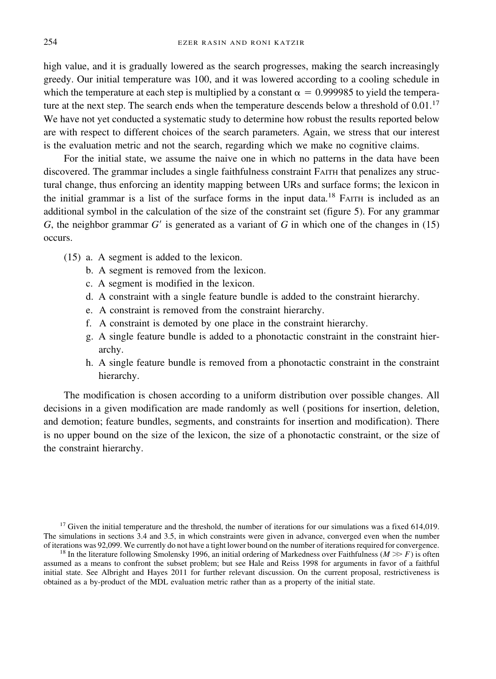high value, and it is gradually lowered as the search progresses, making the search increasingly greedy. Our initial temperature was 100, and it was lowered according to a cooling schedule in which the temperature at each step is multiplied by a constant  $\alpha = 0.999985$  to yield the temperature at the next step. The search ends when the temperature descends below a threshold of  $0.01$ .<sup>17</sup> We have not yet conducted a systematic study to determine how robust the results reported below are with respect to different choices of the search parameters. Again, we stress that our interest is the evaluation metric and not the search, regarding which we make no cognitive claims.

For the initial state, we assume the naive one in which no patterns in the data have been discovered. The grammar includes a single faithfulness constraint FAITH that penalizes any structural change, thus enforcing an identity mapping between URs and surface forms; the lexicon in the initial grammar is a list of the surface forms in the input data.<sup>18</sup> FAITH is included as an additional symbol in the calculation of the size of the constraint set (figure 5). For any grammar *G*, the neighbor grammar *G* is generated as a variant of *G* in which one of the changes in (15) occurs.

- (15) a. A segment is added to the lexicon.
	- b. A segment is removed from the lexicon.
	- c. A segment is modified in the lexicon.
	- d. A constraint with a single feature bundle is added to the constraint hierarchy.
	- e. A constraint is removed from the constraint hierarchy.
	- f. A constraint is demoted by one place in the constraint hierarchy.
	- g. A single feature bundle is added to a phonotactic constraint in the constraint hierarchy.
	- h. A single feature bundle is removed from a phonotactic constraint in the constraint hierarchy.

The modification is chosen according to a uniform distribution over possible changes. All decisions in a given modification are made randomly as well (positions for insertion, deletion, and demotion; feature bundles, segments, and constraints for insertion and modification). There is no upper bound on the size of the lexicon, the size of a phonotactic constraint, or the size of the constraint hierarchy.

<sup>17</sup> Given the initial temperature and the threshold, the number of iterations for our simulations was a fixed  $614,019$ . The simulations in sections 3.4 and 3.5, in which constraints were given in advance, converged even when the number of iterations was 92,099. We currently do not have a tight lower bound on the number of iterations require

<sup>&</sup>lt;sup>18</sup> In the literature following Smolensky 1996, an initial ordering of Markedness over Faithfulness ( $M \gg F$ ) is often assumed as a means to confront the subset problem; but see Hale and Reiss 1998 for arguments in favor of a faithful initial state. See Albright and Hayes 2011 for further relevant discussion. On the current proposal, restrictiveness is obtained as a by-product of the MDL evaluation metric rather than as a property of the initial state.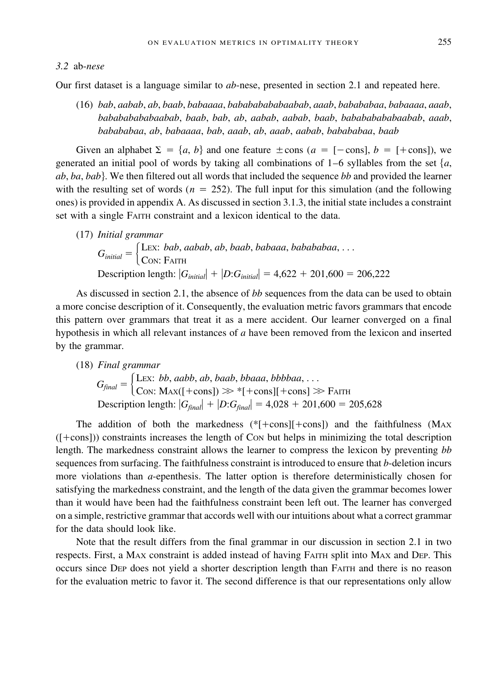#### *3.2* ab-*nese*

Our first dataset is a language similar to *ab*-nese, presented in section 2.1 and repeated here.

(16) *bab*, *aabab*, *ab*, *baab*, *babaaaa*, *babababababaabab*, *aaab*, *babababaa*, *babaaaa*, *aaab*, *babababababaabab*, *baab*, *bab*, *ab*, *aabab*, *aabab*, *baab*, *babababababaabab*, *aaab*, *babababaa*, *ab*, *babaaaa*, *bab*, *aaab*, *ab*, *aaab*, *aabab*, *babababaa*, *baab*

Given an alphabet  $\Sigma = \{a, b\}$  and one feature  $\pm$  cons ( $a = [-\text{cons}], b = [+ \text{cons}]\}$ , we generated an initial pool of words by taking all combinations of  $1-6$  syllables from the set  $\{a,$ *ab*, *ba*, *bab*. We then filtered out all words that included the sequence *bb* and provided the learner with the resulting set of words ( $n = 252$ ). The full input for this simulation (and the following ones) is provided in appendix A. As discussed in section 3.1.3, the initial state includes a constraint set with a single FAITH constraint and a lexicon identical to the data.

*Initial grammar* (17)

Description length:  $|G_{initial}| + |D:G_{initial}| = 4,622 + 201,600 = 206,222$  $G_{initial} = \left\{ \frac{\text{Lex.}}{\text{Cov}} \right\}$ CON: *bab*, *aabab*, *ab*, *baab*, *babaaa*, *babababaa*, . . . FAITH

As discussed in section 2.1, the absence of *bb* sequences from the data can be used to obtain a more concise description of it. Consequently, the evaluation metric favors grammars that encode this pattern over grammars that treat it as a mere accident. Our learner converged on a final hypothesis in which all relevant instances of *a* have been removed from the lexicon and inserted by the grammar.

*Final grammar* (18)

Description length:  $|G_{final}| + |D:G_{final}| = 4,028 + 201,600 = 205,628$  $G_{final} = \begin{cases} \text{Lex:} \\ \text{Cov:} \end{cases}$ CON: *bb*, *aabb*, *ab*, *baab*, *bbaaa*, *bbbbaa*, . . .  $Max([-cons]) \gg *[+cons][+cons] \gg F_{AITH}$ 

The addition of both the markedness  $(*[+cons]]+cons]$  and the faithfulness (MAX  $(f + const)$ ) constraints increases the length of Con but helps in minimizing the total description length. The markedness constraint allows the learner to compress the lexicon by preventing *bb* sequences from surfacing. The faithfulness constraint is introduced to ensure that *b*-deletion incurs more violations than *a*-epenthesis. The latter option is therefore deterministically chosen for satisfying the markedness constraint, and the length of the data given the grammar becomes lower than it would have been had the faithfulness constraint been left out. The learner has converged on a simple, restrictive grammar that accords well with our intuitions about what a correct grammar for the data should look like.

Note that the result differs from the final grammar in our discussion in section 2.1 in two respects. First, a MAX constraint is added instead of having FAITH split into MAX and DEP. This occurs since DEP does not yield a shorter description length than FAITH and there is no reason for the evaluation metric to favor it. The second difference is that our representations only allow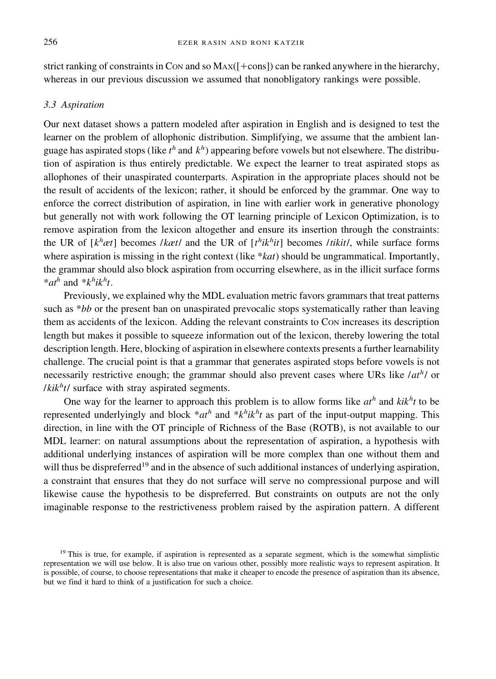strict ranking of constraints in Con and so  $Max([+cons])$  can be ranked anywhere in the hierarchy, whereas in our previous discussion we assumed that nonobligatory rankings were possible.

# *3.3 Aspiration*

Our next dataset shows a pattern modeled after aspiration in English and is designed to test the learner on the problem of allophonic distribution. Simplifying, we assume that the ambient language has aspirated stops (like  $t^h$  and  $k^h$ ) appearing before vowels but not elsewhere. The distribution of aspiration is thus entirely predictable. We expect the learner to treat aspirated stops as allophones of their unaspirated counterparts. Aspiration in the appropriate places should not be the result of accidents of the lexicon; rather, it should be enforced by the grammar. One way to enforce the correct distribution of aspiration, in line with earlier work in generative phonology but generally not with work following the OT learning principle of Lexicon Optimization, is to remove aspiration from the lexicon altogether and ensure its insertion through the constraints: the UR of  $[k^h$  $\alpha t]$  becomes */kat/* and the UR of  $[t^h$ *ik*<sup>*h*</sup> $it$ ] becomes */tikit/*, while surface forms where aspiration is missing in the right context (like \**kat*) should be ungrammatical. Importantly, the grammar should also block aspiration from occurring elsewhere, as in the illicit surface forms \**at<sup>h</sup>* and \**k<sup>h</sup> ikh t*.

Previously, we explained why the MDL evaluation metric favors grammars that treat patterns such as \**bb* or the present ban on unaspirated prevocalic stops systematically rather than leaving them as accidents of the lexicon. Adding the relevant constraints to CON increases its description length but makes it possible to squeeze information out of the lexicon, thereby lowering the total description length. Here, blocking of aspiration in elsewhere contexts presents a further learnability challenge. The crucial point is that a grammar that generates aspirated stops before vowels is not necessarily restrictive enough; the grammar should also prevent cases where URs like /*ath*/ or /*kik<sup>h</sup> t*/ surface with stray aspirated segments.

One way for the learner to approach this problem is to allow forms like  $at^h$  and  $kik^h$ t to be represented underlyingly and block  $*at^h$  and  $*k^h$ *ik*<sup>*h*</sup>t as part of the input-output mapping. This direction, in line with the OT principle of Richness of the Base (ROTB), is not available to our MDL learner: on natural assumptions about the representation of aspiration, a hypothesis with additional underlying instances of aspiration will be more complex than one without them and will thus be dispreferred<sup>19</sup> and in the absence of such additional instances of underlying aspiration, a constraint that ensures that they do not surface will serve no compressional purpose and will likewise cause the hypothesis to be dispreferred. But constraints on outputs are not the only imaginable response to the restrictiveness problem raised by the aspiration pattern. A different

 $19$  This is true, for example, if aspiration is represented as a separate segment, which is the somewhat simplistic representation we will use below. It is also true on various other, possibly more realistic ways to represent aspiration. It is possible, of course, to choose representations that make it cheaper to encode the presence of aspiration than its absence, but we find it hard to think of a justification for such a choice.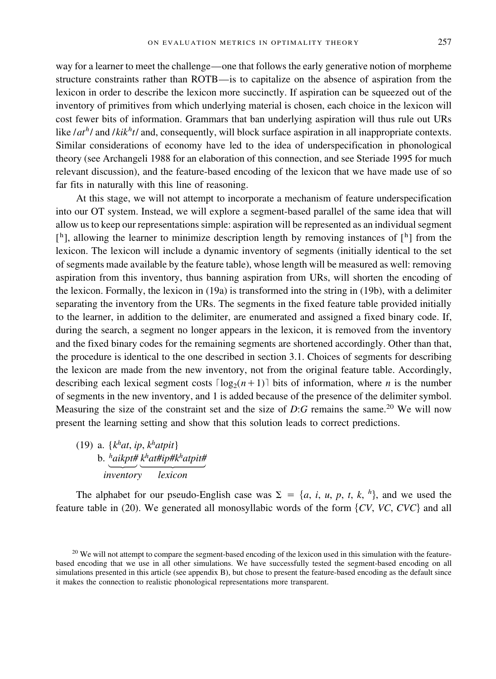way for a learner to meet the challenge—one that follows the early generative notion of morpheme structure constraints rather than ROTB—is to capitalize on the absence of aspiration from the lexicon in order to describe the lexicon more succinctly. If aspiration can be squeezed out of the inventory of primitives from which underlying material is chosen, each choice in the lexicon will cost fewer bits of information. Grammars that ban underlying aspiration will thus rule out URs like  $/at^{h}/$  and  $/kik^{h}$ t/ and, consequently, will block surface aspiration in all inappropriate contexts. Similar considerations of economy have led to the idea of underspecification in phonological theory (see Archangeli 1988 for an elaboration of this connection, and see Steriade 1995 for much relevant discussion), and the feature-based encoding of the lexicon that we have made use of so far fits in naturally with this line of reasoning.

At this stage, we will not attempt to incorporate a mechanism of feature underspecification into our OT system. Instead, we will explore a segment-based parallel of the same idea that will allow us to keep our representations simple: aspiration will be represented as an individual segment [h], allowing the learner to minimize description length by removing instances of [h] from the lexicon. The lexicon will include a dynamic inventory of segments (initially identical to the set of segments made available by the feature table), whose length will be measured as well: removing aspiration from this inventory, thus banning aspiration from URs, will shorten the encoding of the lexicon. Formally, the lexicon in (19a) is transformed into the string in (19b), with a delimiter separating the inventory from the URs. The segments in the fixed feature table provided initially to the learner, in addition to the delimiter, are enumerated and assigned a fixed binary code. If, during the search, a segment no longer appears in the lexicon, it is removed from the inventory and the fixed binary codes for the remaining segments are shortened accordingly. Other than that, the procedure is identical to the one described in section 3.1. Choices of segments for describing the lexicon are made from the new inventory, not from the original feature table. Accordingly, describing each lexical segment costs  $\lceil \log_2(n+1) \rceil$  bits of information, where *n* is the number of segments in the new inventory, and 1 is added because of the presence of the delimiter symbol. Measuring the size of the constraint set and the size of  $D:G$  remains the same.<sup>20</sup> We will now present the learning setting and show that this solution leads to correct predictions.

 $(19)$  a.  $\{k^h a t, ip, k^h a t p t\}$ b. *haikpt# khat#ip#khatpit# inventory lexicon*

The alphabet for our pseudo-English case was  $\Sigma = \{a, i, u, p, t, k, \,^h\}$ , and we used the feature table in  $(20)$ . We generated all monosyllabic words of the form  $\{CV, VC, CVC\}$  and all

 $20$  We will not attempt to compare the segment-based encoding of the lexicon used in this simulation with the featurebased encoding that we use in all other simulations. We have successfully tested the segment-based encoding on all simulations presented in this article (see appendix B), but chose to present the feature-based encoding as the default since it makes the connection to realistic phonological representations more transparent.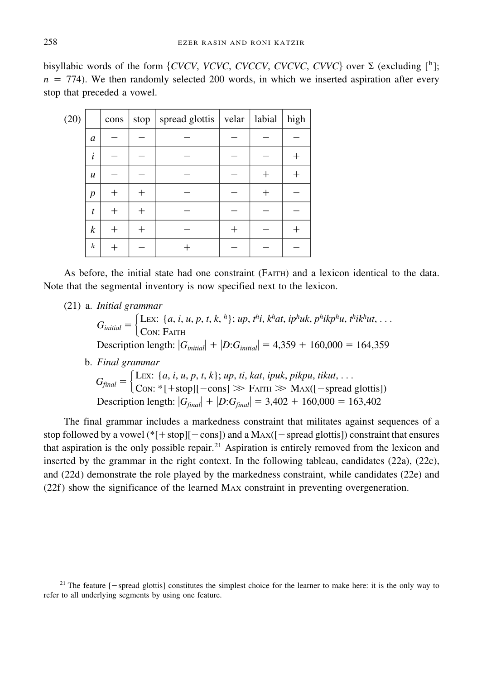bisyllabic words of the form  $\{CVCV, VCVC, CVCV, CVCVC, CVVC\}$  over  $\Sigma$  (excluding  $[^h]$ ;  $n = 774$ ). We then randomly selected 200 words, in which we inserted aspiration after every stop that preceded a vowel.

| (20) |                  | cons | stop | spread glottis | velar | labial | high |
|------|------------------|------|------|----------------|-------|--------|------|
|      | a                |      |      |                |       |        |      |
|      | i                |      |      |                |       |        |      |
|      | $\boldsymbol{u}$ |      |      |                |       |        | ┭    |
|      | $\boldsymbol{p}$ |      |      |                |       |        |      |
|      | $\boldsymbol{t}$ |      |      |                |       |        |      |
|      | $\boldsymbol{k}$ |      |      |                |       |        |      |
|      | $\boldsymbol{h}$ |      |      |                |       |        |      |

As before, the initial state had one constraint (FAITH) and a lexicon identical to the data. Note that the segmental inventory is now specified next to the lexicon.

(21) a. Initial grammar

 $G_{initial} = \left\{ \frac{\text{Lex.}}{\text{Cov}} \right\}$ CON:  ${a, i, u, p, t, k, h}$ ; *up*,  $t^h i, k^h a t, i p^h u k, p^h i k p^h u, t^h i k^h u t, ...$ FAITH

Description length:  $|G_{initial}| + |D:G_{initial}| = 4,359 + 160,000 = 164,359$ 

b. *Final grammar*

$$
G_{final} = \begin{cases} \text{Lex: } \{a, i, u, p, t, k\}; up, ti, kat, ipuk, pikpu, tikut, \dots \\ \text{Conv: } \{ + \text{stop} \}[-\text{cons}] \gg \text{FATH} \gg \text{Max}([-spread glottis]) \end{cases}
$$
  
Description length:  $|G_{final}| + |D:G_{final}| = 3,402 + 160,000 = 163,402$ 

The final grammar includes a markedness constraint that militates against sequences of a stop followed by a vowel (\*[+ stop][-cons]) and a MA $x$ ([- spread glottis]) constraint that ensures that aspiration is the only possible repair.<sup>21</sup> Aspiration is entirely removed from the lexicon and inserted by the grammar in the right context. In the following tableau, candidates (22a), (22c), and (22d) demonstrate the role played by the markedness constraint, while candidates (22e) and (22f) show the significance of the learned MAX constraint in preventing overgeneration.

<sup>&</sup>lt;sup>21</sup> The feature  $[-$  spread glottis] constitutes the simplest choice for the learner to make here: it is the only way to refer to all underlying segments by using one feature.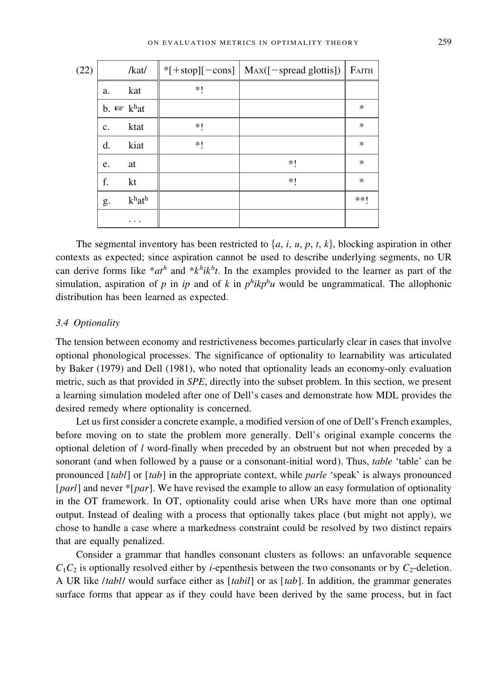| (22) |                                   | /kat/ |      | $*$ [+stop][-cons]   MAx([-spread glottis]) | FAITH  |
|------|-----------------------------------|-------|------|---------------------------------------------|--------|
|      | a.                                | kat   | $*!$ |                                             |        |
|      | b. $\mathbb{R}$ k <sup>h</sup> at |       |      |                                             | *      |
|      | c.                                | ktat  | *!   |                                             | $\ast$ |
|      | d.                                | kiat  | *!   |                                             | $\ast$ |
|      | e.                                | at    |      | $*!$                                        | $\ast$ |
|      | f.                                | kt    |      | $*!$                                        | $\ast$ |
|      | g.                                | khath |      |                                             | $***$  |
|      |                                   | .     |      |                                             |        |

The segmental inventory has been restricted to  $\{a, i, u, p, t, k\}$ , blocking aspiration in other contexts as expected; since aspiration cannot be used to describe underlying segments, no UR can derive forms like  $*at^h$  and  $*k^h$ *ik*<sup>*h*</sup>,. In the examples provided to the learner as part of the simulation, aspiration of *p* in *ip* and of *k* in  $p^h$ *ikp*<sup>*h*</sup>*u* would be ungrammatical. The allophonic distribution has been learned as expected.

# *3.4 Optionality*

The tension between economy and restrictiveness becomes particularly clear in cases that involve optional phonological processes. The significance of optionality to learnability was articulated by Baker (1979) and Dell (1981), who noted that optionality leads an economy-only evaluation metric, such as that provided in *SPE*, directly into the subset problem. In this section, we present a learning simulation modeled after one of Dell's cases and demonstrate how MDL provides the desired remedy where optionality is concerned.

Let us first consider a concrete example, a modified version of one of Dell's French examples, before moving on to state the problem more generally. Dell's original example concerns the optional deletion of *l* word-finally when preceded by an obstruent but not when preceded by a sonorant (and when followed by a pause or a consonant-initial word). Thus, *table* 'table' can be pronounced [*tabl*] or [*tab*] in the appropriate context, while *parle* 'speak' is always pronounced [*parl*] and never \*[*par*]. We have revised the example to allow an easy formulation of optionality in the OT framework. In OT, optionality could arise when URs have more than one optimal output. Instead of dealing with a process that optionally takes place (but might not apply), we chose to handle a case where a markedness constraint could be resolved by two distinct repairs that are equally penalized.

Consider a grammar that handles consonant clusters as follows: an unfavorable sequence  $C_1C_2$  is optionally resolved either by *i*-epenthesis between the two consonants or by  $C_2$ -deletion. A UR like /*tabl*/ would surface either as [*tabil*] or as [*tab*]. In addition, the grammar generates surface forms that appear as if they could have been derived by the same process, but in fact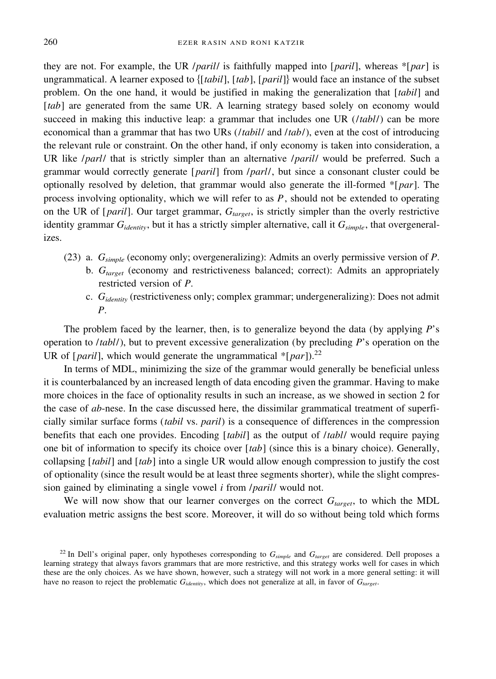they are not. For example, the UR /*paril*/ is faithfully mapped into [*paril*], whereas \*[*par*] is ungrammatical. A learner exposed to  $\{[tabil], [tab], [paril]\}$  would face an instance of the subset problem. On the one hand, it would be justified in making the generalization that [*tabil*] and [*tab*] are generated from the same UR. A learning strategy based solely on economy would succeed in making this inductive leap: a grammar that includes one UR (/*tabl*/) can be more economical than a grammar that has two URs (/*tabil*/ and /*tab*/), even at the cost of introducing the relevant rule or constraint. On the other hand, if only economy is taken into consideration, a UR like /*parl*/ that is strictly simpler than an alternative /*paril*/ would be preferred. Such a grammar would correctly generate [*paril*] from /*parl*/, but since a consonant cluster could be optionally resolved by deletion, that grammar would also generate the ill-formed \*[*par*]. The process involving optionality, which we will refer to as *P*, should not be extended to operating on the UR of [*paril*]. Our target grammar,  $G_{target}$ , is strictly simpler than the overly restrictive identity grammar *Gidentity*, but it has a strictly simpler alternative, call it *Gsimple*, that overgeneralizes.

- (23) a. *Gsimple* (economy only; overgeneralizing): Admits an overly permissive version of *P*.
	- b. *Gtarget* (economy and restrictiveness balanced; correct): Admits an appropriately restricted version of *P*.
	- c. *Gidentity* (restrictiveness only; complex grammar; undergeneralizing): Does not admit *P*.

The problem faced by the learner, then, is to generalize beyond the data (by applying *P*'s operation to /*tabl*/), but to prevent excessive generalization (by precluding *P*'s operation on the UR of  $[paril]$ , which would generate the ungrammatical  $*[par]$ ).<sup>22</sup>

In terms of MDL, minimizing the size of the grammar would generally be beneficial unless it is counterbalanced by an increased length of data encoding given the grammar. Having to make more choices in the face of optionality results in such an increase, as we showed in section 2 for the case of *ab*-nese. In the case discussed here, the dissimilar grammatical treatment of superficially similar surface forms (*tabil* vs. *paril*) is a consequence of differences in the compression benefits that each one provides. Encoding [*tabil*] as the output of /*tabl*/ would require paying one bit of information to specify its choice over [*tab*] (since this is a binary choice). Generally, collapsing [*tabil*] and [*tab*] into a single UR would allow enough compression to justify the cost of optionality (since the result would be at least three segments shorter), while the slight compression gained by eliminating a single vowel *i* from /*paril*/ would not.

We will now show that our learner converges on the correct  $G_{target}$ , to which the MDL evaluation metric assigns the best score. Moreover, it will do so without being told which forms

<sup>&</sup>lt;sup>22</sup> In Dell's original paper, only hypotheses corresponding to  $G_{simple}$  and  $G_{target}$  are considered. Dell proposes a learning strategy that always favors grammars that are more restrictive, and this strategy works well for cases in which these are the only choices. As we have shown, however, such a strategy will not work in a more general setting: it will have no reason to reject the problematic *G<sub>identity</sub>*, which does not generalize at all, in favor of *G<sub>target</sub>*.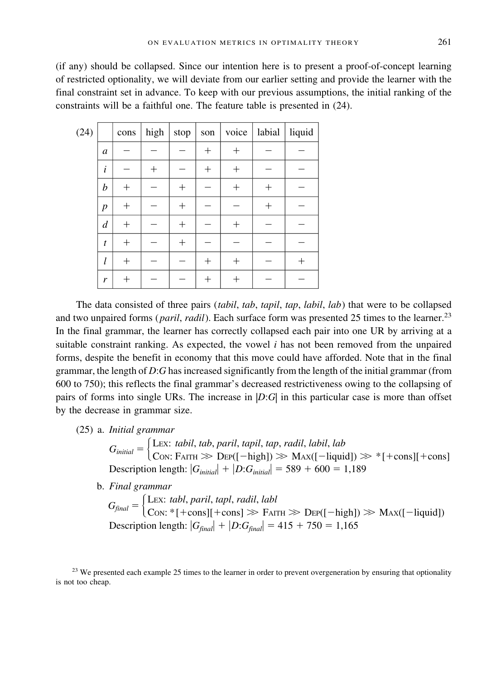(if any) should be collapsed. Since our intention here is to present a proof-of-concept learning of restricted optionality, we will deviate from our earlier setting and provide the learner with the final constraint set in advance. To keep with our previous assumptions, the initial ranking of the constraints will be a faithful one. The feature table is presented in (24).

| (24) |                  | cons   | high   | stop               | son     | voice                            | labial | liquid             |
|------|------------------|--------|--------|--------------------|---------|----------------------------------|--------|--------------------|
|      | a                |        |        |                    | $^{+}$  | $^{+}$                           |        |                    |
|      | $\dot{i}$        |        | $^{+}$ |                    |         |                                  |        |                    |
|      | b                |        |        | $^+$               |         |                                  |        |                    |
|      | $\boldsymbol{p}$ | $+$    |        | $^{+}$             |         |                                  | $^{+}$ |                    |
|      | $\boldsymbol{d}$ | $^{+}$ |        | $\boldsymbol{+}$   |         | $\hspace{0.1mm} +\hspace{0.1mm}$ |        |                    |
|      | $\dot{t}$        | $^{+}$ |        | $\hspace{0.1mm} +$ |         |                                  |        |                    |
|      | l                | $^{+}$ |        |                    | $\,+\,$ | $^{+}$                           |        | $\hspace{0.1mm} +$ |
|      | r                |        |        |                    |         |                                  |        |                    |

The data consisted of three pairs (*tabil*, *tab*, *tapil*, *tap*, *labil*, *lab*) that were to be collapsed and two unpaired forms (*paril, radil*). Each surface form was presented 25 times to the learner.<sup>23</sup> In the final grammar, the learner has correctly collapsed each pair into one UR by arriving at a suitable constraint ranking. As expected, the vowel *i* has not been removed from the unpaired forms, despite the benefit in economy that this move could have afforded. Note that in the final grammar, the length of *D*:*G* has increased significantly from the length of the initial grammar (from 600 to 750); this reflects the final grammar's decreased restrictiveness owing to the collapsing of pairs of forms into single URs. The increase in |*D*:*G*| in this particular case is more than offset by the decrease in grammar size.

(25) a. Initial grammar

Description length:  $|G_{initial}| + |D:G_{initial}| = 589 + 600 = 1,189$  $G_{initial} = \left\{ \frac{\text{Lex.}}{\text{Cov}} \right\}$ CON: *tabil*, *tab*, *paril*, *tapil*, *tap*, *radil*, *labil*, *lab*  $\text{FATH} \gg \text{Dep}([-high]) \gg \text{Max}([-liquid]) \gg *[+cons][+cons]$ 

b. *Final grammar*

$$
G_{\text{final}} = \begin{cases} \text{Lex: } \tanh, \tanh, \tanh, \tanh, \tanh \end{cases}
$$

$$
G_{\text{final}} = \begin{cases} \text{Lex: } \tanh, \tanh, \tanh \geq \text{PartH} \gg \text{Der}([-high]) \gg \text{Max}([-liquid])\\ \text{Description length: } |G_{\text{final}}| + |D:G_{\text{final}}| = 415 + 750 = 1,165 \end{cases}
$$

 $23$  We presented each example 25 times to the learner in order to prevent overgeneration by ensuring that optionality is not too cheap.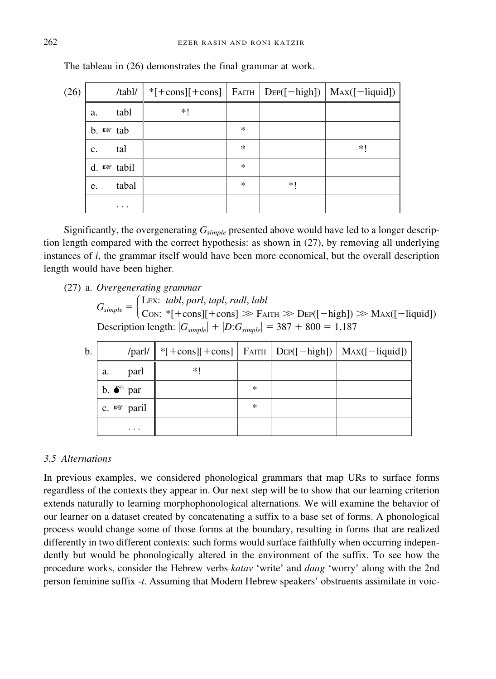| (26) |                                 |          | /tabl/ $\  *$ [+cons][+cons]   FAITH   DEP([-high])   MAX([-liquid]) |        |      |       |
|------|---------------------------------|----------|----------------------------------------------------------------------|--------|------|-------|
|      | a.                              | tabl     | $*1$                                                                 |        |      |       |
|      | $\mathbf{b}$ . $\mathbf{F}$ tab |          |                                                                      | ∗      |      |       |
|      | c.                              | tal      |                                                                      | ∗      |      | $*$ ( |
|      | d. $\mathbb{R}$ tabil           |          |                                                                      | ∗      |      |       |
|      | e.                              | tabal    |                                                                      | $\ast$ | $*1$ |       |
|      |                                 | $\cdots$ |                                                                      |        |      |       |

The tableau in (26) demonstrates the final grammar at work.

Significantly, the overgenerating *Gsimple* presented above would have led to a longer description length compared with the correct hypothesis: as shown in (27), by removing all underlying instances of *i*, the grammar itself would have been more economical, but the overall description length would have been higher.

(27) a. Overgenerating grammar

 $G_{simple} = \left\{\frac{\text{Lex.}}{\text{Conv}}\right\}$ *tabl*, *parl*, *tapl*, *radl*, *labl*

Description length:  $|G_{simple}| + |D:G_{simple}| = 387 + 800 = 1,187$ CON:  $*$ [+cons][+cons]  $\gg$  FAITH  $\gg$  DEP([-high])  $\gg$  MAX([-liquid])

| b. |                    | /parl/                | *[+cons][+cons]   FAITH   DEP([-high])   MAX([-liquid]) |        |  |
|----|--------------------|-----------------------|---------------------------------------------------------|--------|--|
|    | a.                 | parl                  | *1                                                      |        |  |
|    | b. $\bullet^*$ par |                       |                                                         | ∗      |  |
|    |                    | c. $\mathbb{R}$ paril |                                                         | $\ast$ |  |
|    |                    | $\cdots$              |                                                         |        |  |

# *3.5 Alternations*

In previous examples, we considered phonological grammars that map URs to surface forms regardless of the contexts they appear in. Our next step will be to show that our learning criterion extends naturally to learning morphophonological alternations. We will examine the behavior of our learner on a dataset created by concatenating a suffix to a base set of forms. A phonological process would change some of those forms at the boundary, resulting in forms that are realized differently in two different contexts: such forms would surface faithfully when occurring independently but would be phonologically altered in the environment of the suffix. To see how the procedure works, consider the Hebrew verbs *katav* 'write' and *daag* 'worry' along with the 2nd person feminine suffix -*t*. Assuming that Modern Hebrew speakers' obstruents assimilate in voic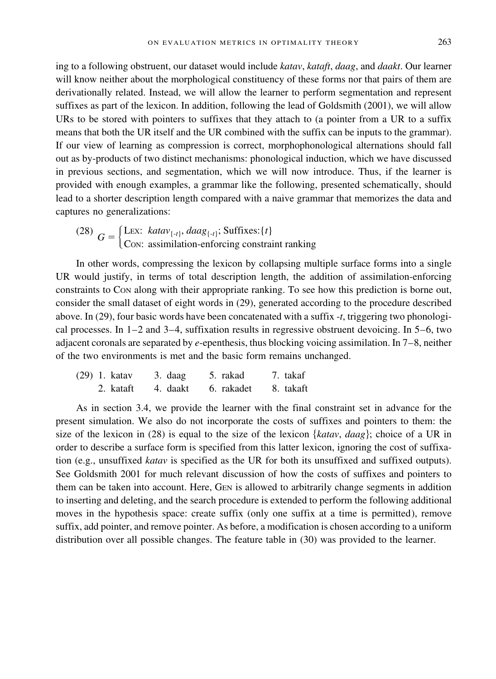ing to a following obstruent, our dataset would include *katav*, *kataft*, *daag*, and *daakt*. Our learner will know neither about the morphological constituency of these forms nor that pairs of them are derivationally related. Instead, we will allow the learner to perform segmentation and represent suffixes as part of the lexicon. In addition, following the lead of Goldsmith (2001), we will allow URs to be stored with pointers to suffixes that they attach to (a pointer from a UR to a suffix means that both the UR itself and the UR combined with the suffix can be inputs to the grammar). If our view of learning as compression is correct, morphophonological alternations should fall out as by-products of two distinct mechanisms: phonological induction, which we have discussed in previous sections, and segmentation, which we will now introduce. Thus, if the learner is provided with enough examples, a grammar like the following, presented schematically, should lead to a shorter description length compared with a naive grammar that memorizes the data and captures no generalizations:

 $(28)$   $G = \begin{cases}$  LEX: CON: *katav*{-*<sup>t</sup>*}, *daag*{-*<sup>t</sup>*}; Suffixes:{*t*} assimilation-enforcing constraint ranking

In other words, compressing the lexicon by collapsing multiple surface forms into a single UR would justify, in terms of total description length, the addition of assimilation-enforcing constraints to CON along with their appropriate ranking. To see how this prediction is borne out, consider the small dataset of eight words in (29), generated according to the procedure described above. In (29), four basic words have been concatenated with a suffix -*t*, triggering two phonological processes. In 1–2 and 3–4, suffixation results in regressive obstruent devoicing. In 5–6, two adjacent coronals are separated by *e*-epenthesis, thus blocking voicing assimilation. In 7–8, neither of the two environments is met and the basic form remains unchanged.

|  | (29) 1. katav | 3. daag  | 5. rakad   | 7. takaf  |
|--|---------------|----------|------------|-----------|
|  | 2. kataft     | 4. daakt | 6. rakadet | 8. takaft |

As in section 3.4, we provide the learner with the final constraint set in advance for the present simulation. We also do not incorporate the costs of suffixes and pointers to them: the size of the lexicon in (28) is equal to the size of the lexicon  $\{katav, daag\}$ ; choice of a UR in order to describe a surface form is specified from this latter lexicon, ignoring the cost of suffixation (e.g., unsuffixed *katav* is specified as the UR for both its unsuffixed and suffixed outputs). See Goldsmith 2001 for much relevant discussion of how the costs of suffixes and pointers to them can be taken into account. Here, GEN is allowed to arbitrarily change segments in addition to inserting and deleting, and the search procedure is extended to perform the following additional moves in the hypothesis space: create suffix (only one suffix at a time is permitted), remove suffix, add pointer, and remove pointer. As before, a modification is chosen according to a uniform distribution over all possible changes. The feature table in (30) was provided to the learner.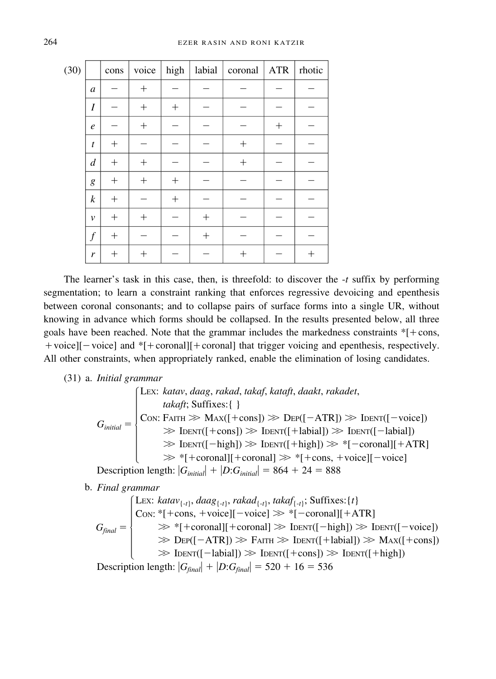| (30) |                  | cons               | voice              | high   | labial | coronal | <b>ATR</b> | rhotic |
|------|------------------|--------------------|--------------------|--------|--------|---------|------------|--------|
|      | a                |                    | $^{+}$             |        |        |         |            |        |
|      | $\boldsymbol{I}$ |                    | $^{+}$             | $^{+}$ |        |         |            |        |
|      | $\mathfrak{e}$   |                    |                    |        |        |         |            |        |
|      | $\bar{t}$        | $^{+}$             |                    |        |        | $^{+}$  |            |        |
|      | $\boldsymbol{d}$ | $^{+}$             | $^{+}$             |        |        | $+$     |            |        |
|      | g                | $^{+}$             | $+$                |        |        |         |            |        |
|      | $\boldsymbol{k}$ | $^{+}$             |                    |        |        |         |            |        |
|      | $\mathcal{V}$    | $^{+}$             | $\hspace{0.1mm} +$ |        | $^{+}$ |         |            |        |
|      | $\boldsymbol{f}$ | $^{+}$             |                    |        | $^{+}$ |         |            |        |
|      | r                | $\hspace{0.1mm} +$ | $^{+}$             |        |        | $^{+}$  |            | $^{+}$ |

The learner's task in this case, then, is threefold: to discover the -*t* suffix by performing segmentation; to learn a constraint ranking that enforces regressive devoicing and epenthesis between coronal consonants; and to collapse pairs of surface forms into a single UR, without knowing in advance which forms should be collapsed. In the results presented below, all three goals have been reached. Note that the grammar includes the markedness constraints  $*$ [+ $\cos$ , + voice] $[-\text{voice}]$  and \* $[+\text{coronal}]$  that trigger voicing and epenthesis, respectively. All other constraints, when appropriately ranked, enable the elimination of losing candidates.

#### (31) a. Initial grammar

Description length:  $|G_{initial}| + |D:G_{initial}| = 864 + 24 = 888$  $G_{initial} = \begin{cases} \text{Conv:} \ \text{FATH} \gg \text{MAX}([\text{+cons}]) \gg \text{Dep}([-\text{ATR}]) \gg \text{IDENT}([-\text{voice}]) \ \gg \text{Ferm}([\text{+cons}]) \gg \text{Ferm}([\text{+lebial}]) \gg \text{Ferm}([\text{+lebial}]) \end{cases}$ LEX: *katav*, *daag*, *rakad*, *takaf*, *kataft*, *daakt*, *rakadet*, *takaft*; Suffixes:{ }  $\gg$  IDENT([+cons])  $\gg$  IDENT([+labial])  $\gg$  IDENT([-labial])  $\gg$  IDENT([-high])  $\gg$  IDENT([+high])  $\gg$  \*[-coronal][+ATR]  $\gg$  \*[+coronal][+coronal]  $\gg$  \*[+cons, +voice][-voice]

b. *Final grammar*

Con:  $*[+cons, +voice][-voice] \gg *[-coronal][+ATR]$  $\gg$  \*[+coronal][+coronal]  $\gg$  IDENT([-high])  $\gg$  IDENT([-voice])  $\gg$  DEP([-ATR])  $\gg$  Faith  $\gg$  IDENT([+labial])  $\gg$  MAX([+cons])  $\gg$  IDENT([-labial])  $\gg$  IDENT([+cons])  $\gg$  IDENT([+high])  $G_{final} =$ LEX: *katav*{-*t*}, *daag*{-*t*}, *rakad*{-*t*}, *takaf*{-*t*}; Suffixes:{*t*}

Description length:  $|G_{final}| + |D:G_{final}| = 520 + 16 = 536$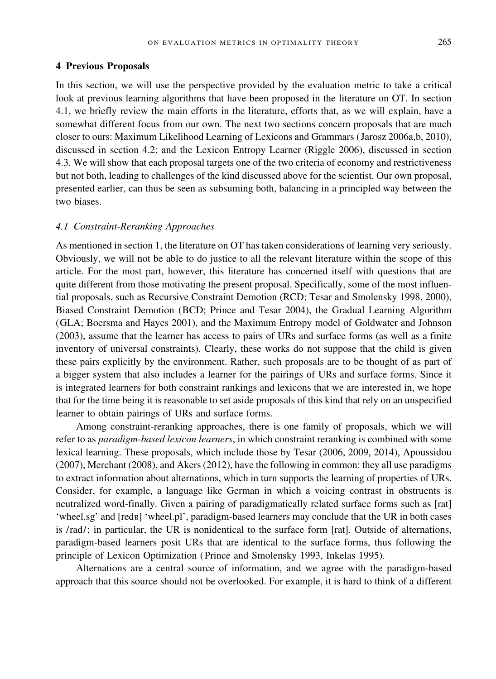#### **4 Previous Proposals**

In this section, we will use the perspective provided by the evaluation metric to take a critical look at previous learning algorithms that have been proposed in the literature on OT. In section 4.1, we briefly review the main efforts in the literature, efforts that, as we will explain, have a somewhat different focus from our own. The next two sections concern proposals that are much closer to ours: Maximum Likelihood Learning of Lexicons and Grammars (Jarosz 2006a,b, 2010), discussed in section 4.2; and the Lexicon Entropy Learner (Riggle 2006), discussed in section 4.3. We will show that each proposal targets one of the two criteria of economy and restrictiveness but not both, leading to challenges of the kind discussed above for the scientist. Our own proposal, presented earlier, can thus be seen as subsuming both, balancing in a principled way between the two biases.

#### *4.1 Constraint-Reranking Approaches*

As mentioned in section 1, the literature on OT has taken considerations of learning very seriously. Obviously, we will not be able to do justice to all the relevant literature within the scope of this article. For the most part, however, this literature has concerned itself with questions that are quite different from those motivating the present proposal. Specifically, some of the most influential proposals, such as Recursive Constraint Demotion (RCD; Tesar and Smolensky 1998, 2000), Biased Constraint Demotion (BCD; Prince and Tesar 2004), the Gradual Learning Algorithm (GLA; Boersma and Hayes 2001), and the Maximum Entropy model of Goldwater and Johnson (2003), assume that the learner has access to pairs of URs and surface forms (as well as a finite inventory of universal constraints). Clearly, these works do not suppose that the child is given these pairs explicitly by the environment. Rather, such proposals are to be thought of as part of a bigger system that also includes a learner for the pairings of URs and surface forms. Since it is integrated learners for both constraint rankings and lexicons that we are interested in, we hope that for the time being it is reasonable to set aside proposals of this kind that rely on an unspecified learner to obtain pairings of URs and surface forms.

Among constraint-reranking approaches, there is one family of proposals, which we will refer to as *paradigm-based lexicon learners*, in which constraint reranking is combined with some lexical learning. These proposals, which include those by Tesar (2006, 2009, 2014), Apoussidou (2007), Merchant (2008), and Akers (2012), have the following in common: they all use paradigms to extract information about alternations, which in turn supports the learning of properties of URs. Consider, for example, a language like German in which a voicing contrast in obstruents is neutralized word-finally. Given a pairing of paradigmatically related surface forms such as [rat] 'wheel.sg' and [red $v$ ] 'wheel.pl', paradigm-based learners may conclude that the UR in both cases is /rad/; in particular, the UR is nonidentical to the surface form [rat]. Outside of alternations, paradigm-based learners posit URs that are identical to the surface forms, thus following the principle of Lexicon Optimization (Prince and Smolensky 1993, Inkelas 1995).

Alternations are a central source of information, and we agree with the paradigm-based approach that this source should not be overlooked. For example, it is hard to think of a different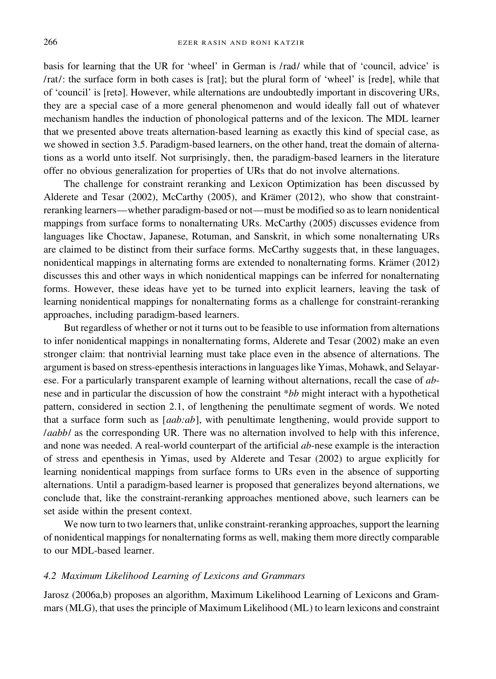basis for learning that the UR for 'wheel' in German is /rad/ while that of 'council, advice' is /rat/: the surface form in both cases is [rat]; but the plural form of 'wheel' is [redve], while that of 'council' is [reta]. However, while alternations are undoubtedly important in discovering URs, they are a special case of a more general phenomenon and would ideally fall out of whatever mechanism handles the induction of phonological patterns and of the lexicon. The MDL learner that we presented above treats alternation-based learning as exactly this kind of special case, as we showed in section 3.5. Paradigm-based learners, on the other hand, treat the domain of alternations as a world unto itself. Not surprisingly, then, the paradigm-based learners in the literature offer no obvious generalization for properties of URs that do not involve alternations.

The challenge for constraint reranking and Lexicon Optimization has been discussed by Alderete and Tesar (2002), McCarthy (2005), and Krämer (2012), who show that constraintreranking learners—whether paradigm-based or not—must be modified so as to learn nonidentical mappings from surface forms to nonalternating URs. McCarthy (2005) discusses evidence from languages like Choctaw, Japanese, Rotuman, and Sanskrit, in which some nonalternating URs are claimed to be distinct from their surface forms. McCarthy suggests that, in these languages, nonidentical mappings in alternating forms are extended to nonalternating forms. Krämer (2012) discusses this and other ways in which nonidentical mappings can be inferred for nonalternating forms. However, these ideas have yet to be turned into explicit learners, leaving the task of learning nonidentical mappings for nonalternating forms as a challenge for constraint-reranking approaches, including paradigm-based learners.

But regardless of whether or not it turns out to be feasible to use information from alternations to infer nonidentical mappings in nonalternating forms, Alderete and Tesar (2002) make an even stronger claim: that nontrivial learning must take place even in the absence of alternations. The argument is based on stress-epenthesis interactions in languages like Yimas, Mohawk, and Selayarese. For a particularly transparent example of learning without alternations, recall the case of *ab*nese and in particular the discussion of how the constraint \**bb* might interact with a hypothetical pattern, considered in section 2.1, of lengthening the penultimate segment of words. We noted that a surface form such as [*aab:ab*], with penultimate lengthening, would provide support to /*aabb*/ as the corresponding UR. There was no alternation involved to help with this inference, and none was needed. A real-world counterpart of the artificial *ab*-nese example is the interaction of stress and epenthesis in Yimas, used by Alderete and Tesar (2002) to argue explicitly for learning nonidentical mappings from surface forms to URs even in the absence of supporting alternations. Until a paradigm-based learner is proposed that generalizes beyond alternations, we conclude that, like the constraint-reranking approaches mentioned above, such learners can be set aside within the present context.

We now turn to two learners that, unlike constraint-reranking approaches, support the learning of nonidentical mappings for nonalternating forms as well, making them more directly comparable to our MDL-based learner.

# *4.2 Maximum Likelihood Learning of Lexicons and Grammars*

Jarosz (2006a,b) proposes an algorithm, Maximum Likelihood Learning of Lexicons and Grammars (MLG), that uses the principle of Maximum Likelihood (ML) to learn lexicons and constraint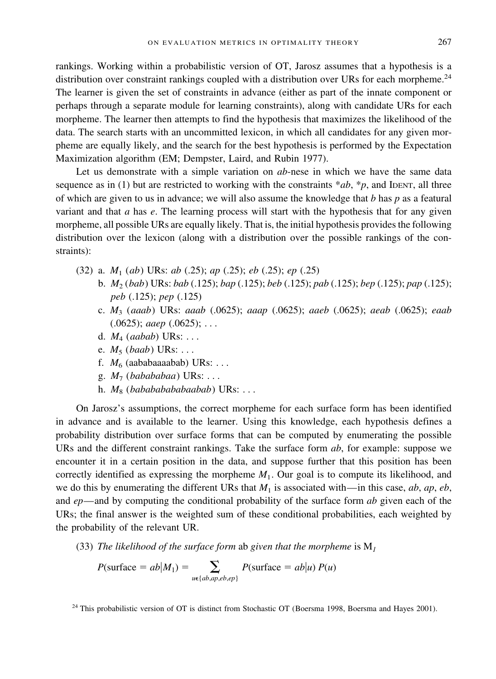rankings. Working within a probabilistic version of OT, Jarosz assumes that a hypothesis is a distribution over constraint rankings coupled with a distribution over URs for each morpheme.<sup>24</sup> The learner is given the set of constraints in advance (either as part of the innate component or perhaps through a separate module for learning constraints), along with candidate URs for each morpheme. The learner then attempts to find the hypothesis that maximizes the likelihood of the data. The search starts with an uncommitted lexicon, in which all candidates for any given morpheme are equally likely, and the search for the best hypothesis is performed by the Expectation Maximization algorithm (EM; Dempster, Laird, and Rubin 1977).

Let us demonstrate with a simple variation on *ab*-nese in which we have the same data sequence as in (1) but are restricted to working with the constraints  $*ab$ ,  $*p$ , and IDENT, all three of which are given to us in advance; we will also assume the knowledge that *b* has *p* as a featural variant and that *a* has *e*. The learning process will start with the hypothesis that for any given morpheme, all possible URs are equally likely. That is, the initial hypothesis provides the following distribution over the lexicon (along with a distribution over the possible rankings of the constraints):

- (32) a. *M*<sup>1</sup> (*ab*) URs: *ab* (.25); *ap* (.25); *eb* (.25); *ep* (.25)
	- b. *M*<sup>2</sup> (*bab*) URs: *bab* (.125); *bap* (.125); *beb* (.125); *pab* (.125); *bep* (.125); *pap* (.125); *peb* (.125); *pep* (.125)
	- c. *M*<sup>3</sup> (*aaab*) URs: *aaab* (.0625); *aaap* (.0625); *aaeb* (.0625); *aeab* (.0625); *eaab* (.0625); *aaep* (.0625); . . .
	- d. *M*<sup>4</sup> (*aabab*) URs: . . .
	- e. *M*<sup>5</sup> (*baab*) URs: . . .
	- f.  $M_6$  (aababaaaabab) URs: ...
	- g. *M*<sup>7</sup> (*babababaa*) URs: . . .
	- h. *M*<sup>8</sup> (*babababababaabab*) URs: . . .

On Jarosz's assumptions, the correct morpheme for each surface form has been identified in advance and is available to the learner. Using this knowledge, each hypothesis defines a probability distribution over surface forms that can be computed by enumerating the possible URs and the different constraint rankings. Take the surface form *ab*, for example: suppose we encounter it in a certain position in the data, and suppose further that this position has been correctly identified as expressing the morpheme *M*1. Our goal is to compute its likelihood, and we do this by enumerating the different URs that  $M_1$  is associated with—in this case, *ab*, *ap*, *eb*, and *ep*—and by computing the conditional probability of the surface form *ab* given each of the URs; the final answer is the weighted sum of these conditional probabilities, each weighted by the probability of the relevant UR.

(33) The likelihood of the surface form ab given that the morpheme is  $M_l$ 

$$
P(\text{surface} = ab|M_1) = \sum_{u \in \{ab, ap, eb, ep\}} P(\text{surface} = ab|u) P(u)
$$

<sup>&</sup>lt;sup>24</sup> This probabilistic version of OT is distinct from Stochastic OT (Boersma 1998, Boersma and Hayes 2001).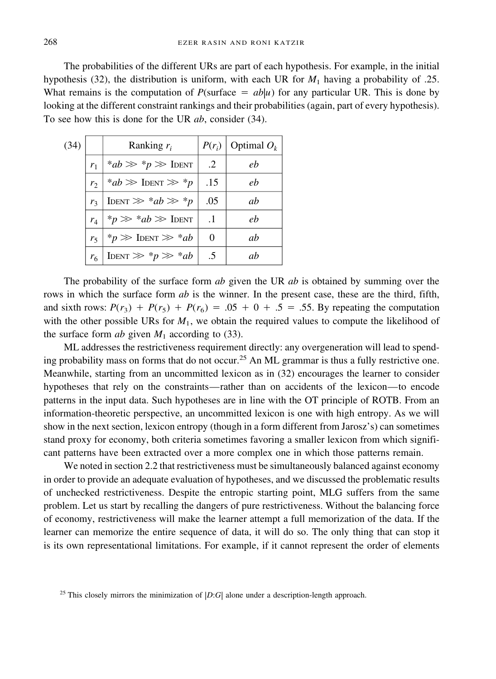The probabilities of the different URs are part of each hypothesis. For example, in the initial hypothesis (32), the distribution is uniform, with each UR for *M*<sup>1</sup> having a probability of .25. What remains is the computation of  $P(\text{surface} = ab|u)$  for any particular UR. This is done by looking at the different constraint rankings and their probabilities (again, part of every hypothesis). To see how this is done for the UR *ab*, consider (34).

| (34) |                | Ranking $r_i$              | $P(r_i)$  | Optimal $O_k$ |
|------|----------------|----------------------------|-----------|---------------|
|      | r <sub>1</sub> | *ab $\gg$ *p $\gg$ IDENT   | $\cdot$ 2 | eb            |
|      | r <sub>2</sub> | *ab $\gg$ IDENT $\gg$ *p   | .15       | eb            |
|      | r <sub>3</sub> | IDENT $\gg$ *ab $\gg$ *p   | .05       | ab            |
|      | $r_4$          | * $p \gg$ * $ab \gg$ IDENT | $\cdot$ 1 | eb            |
|      | $r_{5}$        | * $p \gg$ IDENT $\gg$ *ab  | 0         | ab            |
|      | r <sub>6</sub> | IDENT $\gg$ *p $\gg$ *ab   | .5        | ab            |

The probability of the surface form *ab* given the UR *ab* is obtained by summing over the rows in which the surface form *ab* is the winner. In the present case, these are the third, fifth, and sixth rows:  $P(r_3) + P(r_5) + P(r_6) = .05 + 0 + .5 = .55$ . By repeating the computation with the other possible URs for  $M_1$ , we obtain the required values to compute the likelihood of the surface form *ab* given  $M_1$  according to (33).

ML addresses the restrictiveness requirement directly: any overgeneration will lead to spending probability mass on forms that do not occur.<sup>25</sup> An ML grammar is thus a fully restrictive one. Meanwhile, starting from an uncommitted lexicon as in (32) encourages the learner to consider hypotheses that rely on the constraints—rather than on accidents of the lexicon—to encode patterns in the input data. Such hypotheses are in line with the OT principle of ROTB. From an information-theoretic perspective, an uncommitted lexicon is one with high entropy. As we will show in the next section, lexicon entropy (though in a form different from Jarosz's) can sometimes stand proxy for economy, both criteria sometimes favoring a smaller lexicon from which significant patterns have been extracted over a more complex one in which those patterns remain.

We noted in section 2.2 that restrictiveness must be simultaneously balanced against economy in order to provide an adequate evaluation of hypotheses, and we discussed the problematic results of unchecked restrictiveness. Despite the entropic starting point, MLG suffers from the same problem. Let us start by recalling the dangers of pure restrictiveness. Without the balancing force of economy, restrictiveness will make the learner attempt a full memorization of the data. If the learner can memorize the entire sequence of data, it will do so. The only thing that can stop it is its own representational limitations. For example, if it cannot represent the order of elements

<sup>25</sup> This closely mirrors the minimization of |*D*:*G*| alone under a description-length approach.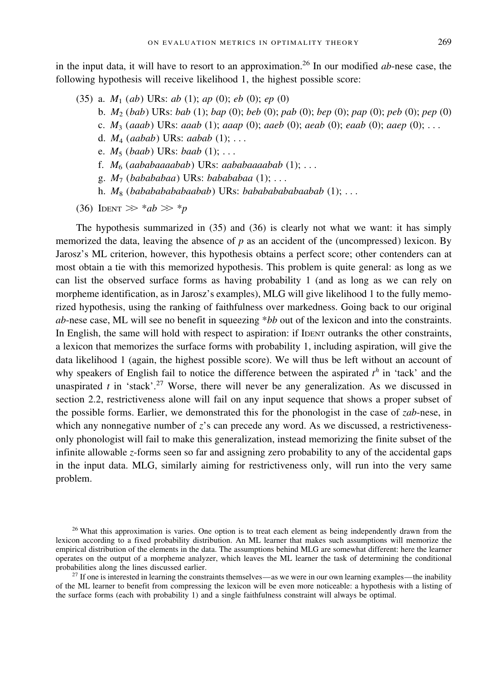in the input data, it will have to resort to an approximation.<sup>26</sup> In our modified *ab*-nese case, the following hypothesis will receive likelihood 1, the highest possible score:

- (35) a. *M*<sup>1</sup> (*ab*) URs: *ab* (1); *ap* (0); *eb* (0); *ep* (0)
	- b. *M*<sup>2</sup> (*bab*) URs: *bab* (1); *bap* (0); *beb* (0); *pab* (0); *bep* (0); *pap* (0); *peb* (0); *pep* (0)
	- c. *M*<sup>3</sup> (*aaab*) URs: *aaab* (1); *aaap* (0); *aaeb* (0); *aeab* (0); *eaab* (0); *aaep* (0); . . .
	- d. *M*<sup>4</sup> (*aabab*) URs: *aabab* (1); . . .
	- e. *M*<sup>5</sup> (*baab*) URs: *baab* (1); . . .
	- f. *M*<sup>6</sup> (*aababaaaabab*) URs: *aababaaaabab* (1); . . .
	- g. *M*<sup>7</sup> (*babababaa*) URs: *babababaa* (1); . . .
	- h. *M*<sup>8</sup> (*babababababaabab*) URs: *babababababaabab* (1); . . .
- (36) IDENT  $\gg$  \**ab*  $\gg$  \**p*

The hypothesis summarized in (35) and (36) is clearly not what we want: it has simply memorized the data, leaving the absence of *p* as an accident of the (uncompressed) lexicon. By Jarosz's ML criterion, however, this hypothesis obtains a perfect score; other contenders can at most obtain a tie with this memorized hypothesis. This problem is quite general: as long as we can list the observed surface forms as having probability 1 (and as long as we can rely on morpheme identification, as in Jarosz's examples), MLG will give likelihood 1 to the fully memorized hypothesis, using the ranking of faithfulness over markedness. Going back to our original *ab*-nese case, ML will see no benefit in squeezing \**bb* out of the lexicon and into the constraints. In English, the same will hold with respect to aspiration: if IDENT outranks the other constraints, a lexicon that memorizes the surface forms with probability 1, including aspiration, will give the data likelihood 1 (again, the highest possible score). We will thus be left without an account of why speakers of English fail to notice the difference between the aspirated  $t^h$  in 'tack' and the unaspirated  $t$  in 'stack'.<sup>27</sup> Worse, there will never be any generalization. As we discussed in section 2.2, restrictiveness alone will fail on any input sequence that shows a proper subset of the possible forms. Earlier, we demonstrated this for the phonologist in the case of *zab*-nese, in which any nonnegative number of *z*'s can precede any word. As we discussed, a restrictivenessonly phonologist will fail to make this generalization, instead memorizing the finite subset of the infinite allowable *z*-forms seen so far and assigning zero probability to any of the accidental gaps in the input data. MLG, similarly aiming for restrictiveness only, will run into the very same problem.

<sup>26</sup> What this approximation is varies. One option is to treat each element as being independently drawn from the lexicon according to a fixed probability distribution. An ML learner that makes such assumptions will memorize the empirical distribution of the elements in the data. The assumptions behind MLG are somewhat different: here the learner operates on the output of a morpheme analyzer, which leaves the ML learner the task of determining the conditional probabilities along the lines discussed earlier.<br><sup>27</sup> If one is interested in learning the constraints themselves—as we were in our own learning examples—the inability

of the ML learner to benefit from compressing the lexicon will be even more noticeable: a hypothesis with a listing of the surface forms (each with probability 1) and a single faithfulness constraint will always be optimal.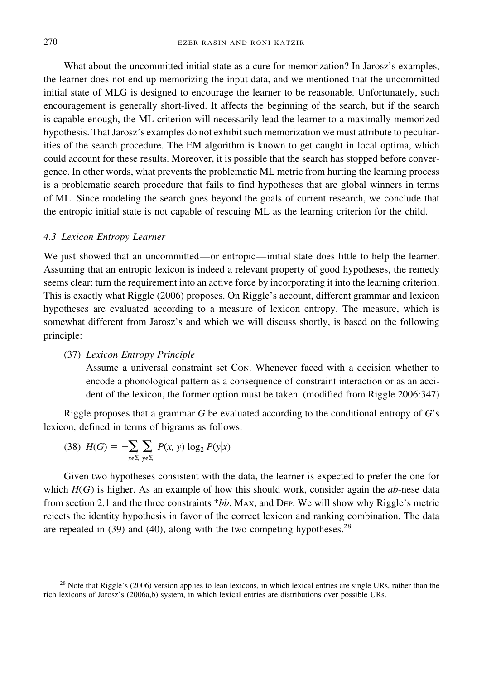What about the uncommitted initial state as a cure for memorization? In Jarosz's examples, the learner does not end up memorizing the input data, and we mentioned that the uncommitted initial state of MLG is designed to encourage the learner to be reasonable. Unfortunately, such encouragement is generally short-lived. It affects the beginning of the search, but if the search is capable enough, the ML criterion will necessarily lead the learner to a maximally memorized hypothesis. That Jarosz's examples do not exhibit such memorization we must attribute to peculiarities of the search procedure. The EM algorithm is known to get caught in local optima, which could account for these results. Moreover, it is possible that the search has stopped before convergence. In other words, what prevents the problematic ML metric from hurting the learning process is a problematic search procedure that fails to find hypotheses that are global winners in terms of ML. Since modeling the search goes beyond the goals of current research, we conclude that the entropic initial state is not capable of rescuing ML as the learning criterion for the child.

#### *4.3 Lexicon Entropy Learner*

We just showed that an uncommitted—or entropic—initial state does little to help the learner. Assuming that an entropic lexicon is indeed a relevant property of good hypotheses, the remedy seems clear: turn the requirement into an active force by incorporating it into the learning criterion. This is exactly what Riggle (2006) proposes. On Riggle's account, different grammar and lexicon hypotheses are evaluated according to a measure of lexicon entropy. The measure, which is somewhat different from Jarosz's and which we will discuss shortly, is based on the following principle:

(37) *Lexicon Entropy Principle*

Assume a universal constraint set CON. Whenever faced with a decision whether to encode a phonological pattern as a consequence of constraint interaction or as an accident of the lexicon, the former option must be taken. (modified from Riggle 2006:347)

Riggle proposes that a grammar *G* be evaluated according to the conditional entropy of *G*'s lexicon, defined in terms of bigrams as follows:

$$
(38) \ \ H(G) = -\sum_{x \in \Sigma} \sum_{y \in \Sigma} P(x, y) \log_2 P(y|x)
$$

Given two hypotheses consistent with the data, the learner is expected to prefer the one for which *H*(*G*) is higher. As an example of how this should work, consider again the *ab*-nese data from section 2.1 and the three constraints \**bb*, MAX, and DEP. We will show why Riggle's metric rejects the identity hypothesis in favor of the correct lexicon and ranking combination. The data are repeated in  $(39)$  and  $(40)$ , along with the two competing hypotheses.<sup>28</sup>

 $28$  Note that Riggle's (2006) version applies to lean lexicons, in which lexical entries are single URs, rather than the rich lexicons of Jarosz's (2006a,b) system, in which lexical entries are distributions over possible URs.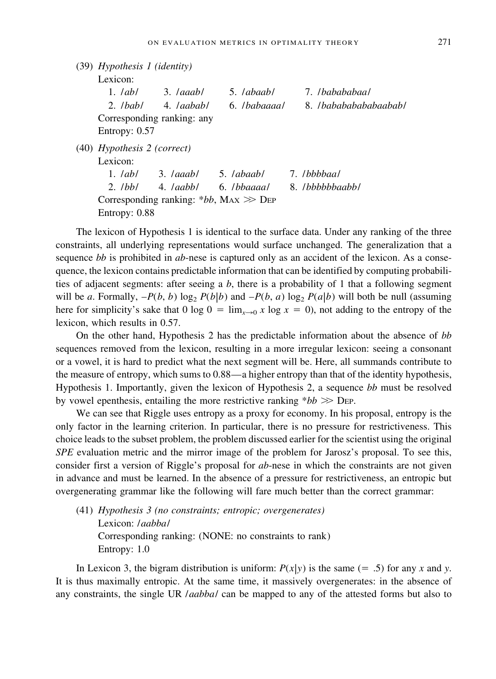| $(39)$ Hypothesis 1 (identity)                             |                                                     |                     |                       |  |  |  |  |  |
|------------------------------------------------------------|-----------------------------------------------------|---------------------|-----------------------|--|--|--|--|--|
| Lexicon:                                                   |                                                     |                     |                       |  |  |  |  |  |
|                                                            | 1. $\langle ab \rangle$ 3. $\langle aaab \rangle$   | $5.$ $labaab$       | 7. Ibabababaal        |  |  |  |  |  |
|                                                            | 2. <i>(bab)</i> 4. <i>(aabab)</i>                   | 6. <i>(babaaaa)</i> | 8. Ibabababababaababl |  |  |  |  |  |
| Corresponding ranking: any                                 |                                                     |                     |                       |  |  |  |  |  |
| Entropy: $0.57$                                            |                                                     |                     |                       |  |  |  |  |  |
| $(40)$ Hypothesis 2 (correct)<br>Lexicon:                  |                                                     |                     |                       |  |  |  |  |  |
|                                                            | $1.$ $\langle ab \rangle$ 3. $\langle aaab \rangle$ | 5. <i>(abaab)</i>   | 7. <i>(bbbbaa)</i>    |  |  |  |  |  |
| $2.$ <i>(bb)</i>                                           | 4. <i>Laabbl</i>                                    | 6. <i>(bhaaaa)</i>  | 8. (bbbbbbaabb)       |  |  |  |  |  |
| Corresponding ranking: *bb, $Max \gg DEP$<br>Entropy: 0.88 |                                                     |                     |                       |  |  |  |  |  |

The lexicon of Hypothesis 1 is identical to the surface data. Under any ranking of the three constraints, all underlying representations would surface unchanged. The generalization that a sequence *bb* is prohibited in *ab*-nese is captured only as an accident of the lexicon. As a consequence, the lexicon contains predictable information that can be identified by computing probabilities of adjacent segments: after seeing a *b*, there is a probability of 1 that a following segment will be *a*. Formally,  $-P(b, b) \log_2 P(b|b)$  and  $-P(b, a) \log_2 P(a|b)$  will both be null (assuming here for simplicity's sake that 0 log  $0 = \lim_{x\to 0} x \log x = 0$ , not adding to the entropy of the lexicon, which results in 0.57.

On the other hand, Hypothesis 2 has the predictable information about the absence of *bb* sequences removed from the lexicon, resulting in a more irregular lexicon: seeing a consonant or a vowel, it is hard to predict what the next segment will be. Here, all summands contribute to the measure of entropy, which sums to 0.88—a higher entropy than that of the identity hypothesis, Hypothesis 1. Importantly, given the lexicon of Hypothesis 2, a sequence *bb* must be resolved by vowel epenthesis, entailing the more restrictive ranking  $*bb \gg$  Dep.

We can see that Riggle uses entropy as a proxy for economy. In his proposal, entropy is the only factor in the learning criterion. In particular, there is no pressure for restrictiveness. This choice leads to the subset problem, the problem discussed earlier for the scientist using the original *SPE* evaluation metric and the mirror image of the problem for Jarosz's proposal. To see this, consider first a version of Riggle's proposal for *ab*-nese in which the constraints are not given in advance and must be learned. In the absence of a pressure for restrictiveness, an entropic but overgenerating grammar like the following will fare much better than the correct grammar:

(41) *Hypothesis 3 (no constraints; entropic; overgenerates)* Lexicon: /*aabba*/ Corresponding ranking: (NONE: no constraints to rank) Entropy: 1.0

In Lexicon 3, the bigram distribution is uniform:  $P(x|y)$  is the same (= .5) for any *x* and *y*. It is thus maximally entropic. At the same time, it massively overgenerates: in the absence of any constraints, the single UR /*aabba*/ can be mapped to any of the attested forms but also to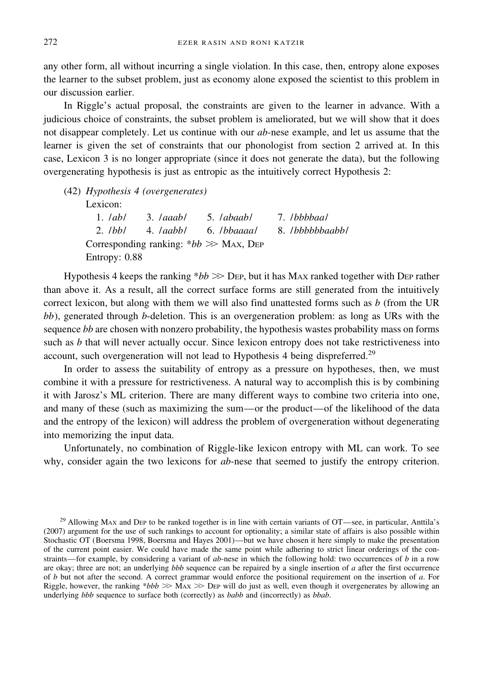any other form, all without incurring a single violation. In this case, then, entropy alone exposes the learner to the subset problem, just as economy alone exposed the scientist to this problem in our discussion earlier.

In Riggle's actual proposal, the constraints are given to the learner in advance. With a judicious choice of constraints, the subset problem is ameliorated, but we will show that it does not disappear completely. Let us continue with our *ab*-nese example, and let us assume that the learner is given the set of constraints that our phonologist from section 2 arrived at. In this case, Lexicon 3 is no longer appropriate (since it does not generate the data), but the following overgenerating hypothesis is just as entropic as the intuitively correct Hypothesis 2:

(42) *Hypothesis 4 (overgenerates)*

Lexicon:

1. /*ab*/ 3. /*aaab*/ 5. /*abaab*/ 7. /*bbbbaa*/ 2. /*bb*/ 4. /*aabb*/ 6. /*bbaaaa*/ 8. /*bbbbbbaabb*/ Corresponding ranking:  $*bb \gg$  M<sub>AX</sub>, D<sub>EP</sub> Entropy: 0.88

Hypothesis 4 keeps the ranking  $*bb \gg$  Dep, but it has MAX ranked together with Dep rather than above it. As a result, all the correct surface forms are still generated from the intuitively correct lexicon, but along with them we will also find unattested forms such as *b* (from the UR *bb*), generated through *b*-deletion. This is an overgeneration problem: as long as URs with the sequence *bb* are chosen with nonzero probability, the hypothesis wastes probability mass on forms such as *b* that will never actually occur. Since lexicon entropy does not take restrictiveness into account, such overgeneration will not lead to Hypothesis 4 being dispreferred.<sup>29</sup>

In order to assess the suitability of entropy as a pressure on hypotheses, then, we must combine it with a pressure for restrictiveness. A natural way to accomplish this is by combining it with Jarosz's ML criterion. There are many different ways to combine two criteria into one, and many of these (such as maximizing the sum—or the product—of the likelihood of the data and the entropy of the lexicon) will address the problem of overgeneration without degenerating into memorizing the input data.

Unfortunately, no combination of Riggle-like lexicon entropy with ML can work. To see why, consider again the two lexicons for *ab*-nese that seemed to justify the entropy criterion.

<sup>&</sup>lt;sup>29</sup> Allowing MAX and DEP to be ranked together is in line with certain variants of OT—see, in particular, Anttila's (2007) argument for the use of such rankings to account for optionality; a similar state of affairs is also possible within Stochastic OT (Boersma 1998, Boersma and Hayes 2001)—but we have chosen it here simply to make the presentation of the current point easier. We could have made the same point while adhering to strict linear orderings of the constraints—for example, by considering a variant of *ab*-nese in which the following hold: two occurrences of *b* in a row are okay; three are not; an underlying *bbb* sequence can be repaired by a single insertion of *a* after the first occurrence of *b* but not after the second. A correct grammar would enforce the positional requirement on the insertion of *a*. For Riggle, however, the ranking  $*bb \gg$  MAX  $\gg$  DEP will do just as well, even though it overgenerates by allowing an underlying *bbb* sequence to surface both (correctly) as *babb* and (incorrectly) as *bbab*.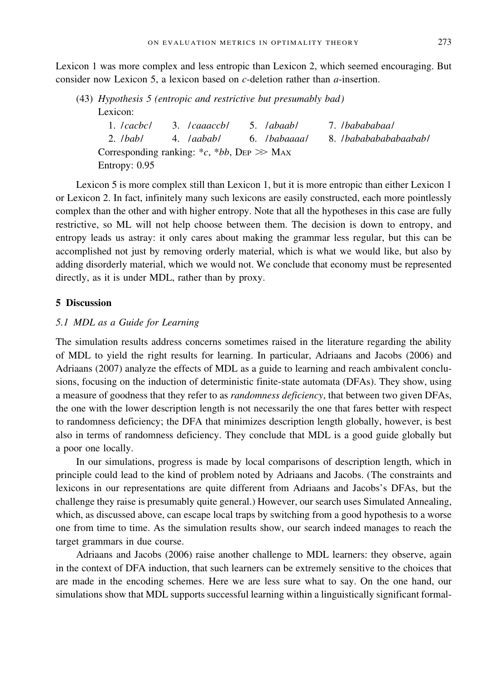Lexicon 1 was more complex and less entropic than Lexicon 2, which seemed encouraging. But consider now Lexicon 5, a lexicon based on *c*-deletion rather than *a*-insertion.

(43) *Hypothesis 5 (entropic and restrictive but presumably bad)* Lexicon: 1. /*cacbc*/ 3. /*caaaccb*/ 5. /*abaab*/ 7. /*babababaa*/ 2. /*bab*/ 4. /*aabab*/ 6. /*babaaaa*/ 8. /*babababababaabab*/ Corresponding ranking:  $*c$ ,  $^*bb$ , DEP  $\gg$  M<sub>AX</sub> Entropy: 0.95

Lexicon 5 is more complex still than Lexicon 1, but it is more entropic than either Lexicon 1 or Lexicon 2. In fact, infinitely many such lexicons are easily constructed, each more pointlessly complex than the other and with higher entropy. Note that all the hypotheses in this case are fully restrictive, so ML will not help choose between them. The decision is down to entropy, and entropy leads us astray: it only cares about making the grammar less regular, but this can be accomplished not just by removing orderly material, which is what we would like, but also by adding disorderly material, which we would not. We conclude that economy must be represented directly, as it is under MDL, rather than by proxy.

#### **5 Discussion**

# *5.1 MDL as a Guide for Learning*

The simulation results address concerns sometimes raised in the literature regarding the ability of MDL to yield the right results for learning. In particular, Adriaans and Jacobs (2006) and Adriaans (2007) analyze the effects of MDL as a guide to learning and reach ambivalent conclusions, focusing on the induction of deterministic finite-state automata (DFAs). They show, using a measure of goodness that they refer to as *randomness deficiency*, that between two given DFAs, the one with the lower description length is not necessarily the one that fares better with respect to randomness deficiency; the DFA that minimizes description length globally, however, is best also in terms of randomness deficiency. They conclude that MDL is a good guide globally but a poor one locally.

In our simulations, progress is made by local comparisons of description length, which in principle could lead to the kind of problem noted by Adriaans and Jacobs. (The constraints and lexicons in our representations are quite different from Adriaans and Jacobs's DFAs, but the challenge they raise is presumably quite general.) However, our search uses Simulated Annealing, which, as discussed above, can escape local traps by switching from a good hypothesis to a worse one from time to time. As the simulation results show, our search indeed manages to reach the target grammars in due course.

Adriaans and Jacobs (2006) raise another challenge to MDL learners: they observe, again in the context of DFA induction, that such learners can be extremely sensitive to the choices that are made in the encoding schemes. Here we are less sure what to say. On the one hand, our simulations show that MDL supports successful learning within a linguistically significant formal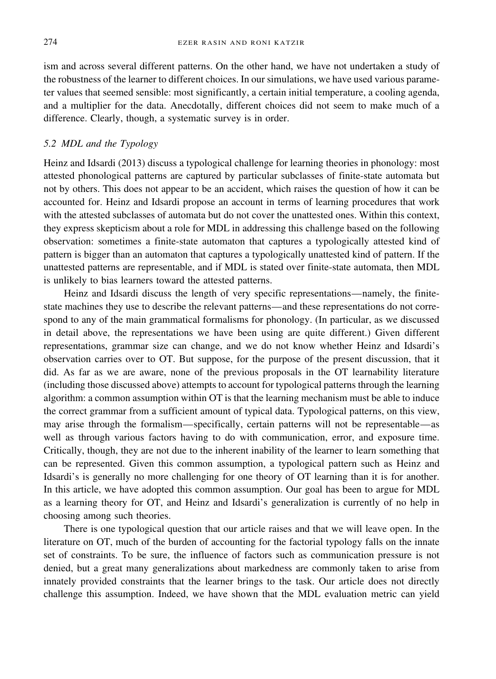ism and across several different patterns. On the other hand, we have not undertaken a study of the robustness of the learner to different choices. In our simulations, we have used various parameter values that seemed sensible: most significantly, a certain initial temperature, a cooling agenda, and a multiplier for the data. Anecdotally, different choices did not seem to make much of a difference. Clearly, though, a systematic survey is in order.

# *5.2 MDL and the Typology*

Heinz and Idsardi (2013) discuss a typological challenge for learning theories in phonology: most attested phonological patterns are captured by particular subclasses of finite-state automata but not by others. This does not appear to be an accident, which raises the question of how it can be accounted for. Heinz and Idsardi propose an account in terms of learning procedures that work with the attested subclasses of automata but do not cover the unattested ones. Within this context, they express skepticism about a role for MDL in addressing this challenge based on the following observation: sometimes a finite-state automaton that captures a typologically attested kind of pattern is bigger than an automaton that captures a typologically unattested kind of pattern. If the unattested patterns are representable, and if MDL is stated over finite-state automata, then MDL is unlikely to bias learners toward the attested patterns.

Heinz and Idsardi discuss the length of very specific representations—namely, the finitestate machines they use to describe the relevant patterns—and these representations do not correspond to any of the main grammatical formalisms for phonology. (In particular, as we discussed in detail above, the representations we have been using are quite different.) Given different representations, grammar size can change, and we do not know whether Heinz and Idsardi's observation carries over to OT. But suppose, for the purpose of the present discussion, that it did. As far as we are aware, none of the previous proposals in the OT learnability literature (including those discussed above) attempts to account for typological patterns through the learning algorithm: a common assumption within OT is that the learning mechanism must be able to induce the correct grammar from a sufficient amount of typical data. Typological patterns, on this view, may arise through the formalism—specifically, certain patterns will not be representable—as well as through various factors having to do with communication, error, and exposure time. Critically, though, they are not due to the inherent inability of the learner to learn something that can be represented. Given this common assumption, a typological pattern such as Heinz and Idsardi's is generally no more challenging for one theory of OT learning than it is for another. In this article, we have adopted this common assumption. Our goal has been to argue for MDL as a learning theory for OT, and Heinz and Idsardi's generalization is currently of no help in choosing among such theories.

There is one typological question that our article raises and that we will leave open. In the literature on OT, much of the burden of accounting for the factorial typology falls on the innate set of constraints. To be sure, the influence of factors such as communication pressure is not denied, but a great many generalizations about markedness are commonly taken to arise from innately provided constraints that the learner brings to the task. Our article does not directly challenge this assumption. Indeed, we have shown that the MDL evaluation metric can yield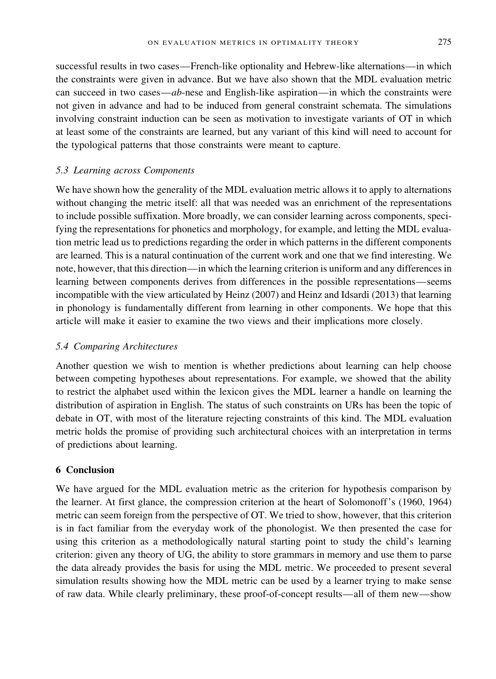successful results in two cases—French-like optionality and Hebrew-like alternations—in which the constraints were given in advance. But we have also shown that the MDL evaluation metric can succeed in two cases—*ab*-nese and English-like aspiration—in which the constraints were not given in advance and had to be induced from general constraint schemata. The simulations involving constraint induction can be seen as motivation to investigate variants of OT in which at least some of the constraints are learned, but any variant of this kind will need to account for the typological patterns that those constraints were meant to capture.

# *5.3 Learning across Components*

We have shown how the generality of the MDL evaluation metric allows it to apply to alternations without changing the metric itself: all that was needed was an enrichment of the representations to include possible suffixation. More broadly, we can consider learning across components, specifying the representations for phonetics and morphology, for example, and letting the MDL evaluation metric lead us to predictions regarding the order in which patterns in the different components are learned. This is a natural continuation of the current work and one that we find interesting. We note, however, that this direction—in which the learning criterion is uniform and any differences in learning between components derives from differences in the possible representations—seems incompatible with the view articulated by Heinz (2007) and Heinz and Idsardi (2013) that learning in phonology is fundamentally different from learning in other components. We hope that this article will make it easier to examine the two views and their implications more closely.

# *5.4 Comparing Architectures*

Another question we wish to mention is whether predictions about learning can help choose between competing hypotheses about representations. For example, we showed that the ability to restrict the alphabet used within the lexicon gives the MDL learner a handle on learning the distribution of aspiration in English. The status of such constraints on URs has been the topic of debate in OT, with most of the literature rejecting constraints of this kind. The MDL evaluation metric holds the promise of providing such architectural choices with an interpretation in terms of predictions about learning.

# **6 Conclusion**

We have argued for the MDL evaluation metric as the criterion for hypothesis comparison by the learner. At first glance, the compression criterion at the heart of Solomonoff's (1960, 1964) metric can seem foreign from the perspective of OT. We tried to show, however, that this criterion is in fact familiar from the everyday work of the phonologist. We then presented the case for using this criterion as a methodologically natural starting point to study the child's learning criterion: given any theory of UG, the ability to store grammars in memory and use them to parse the data already provides the basis for using the MDL metric. We proceeded to present several simulation results showing how the MDL metric can be used by a learner trying to make sense of raw data. While clearly preliminary, these proof-of-concept results—all of them new—show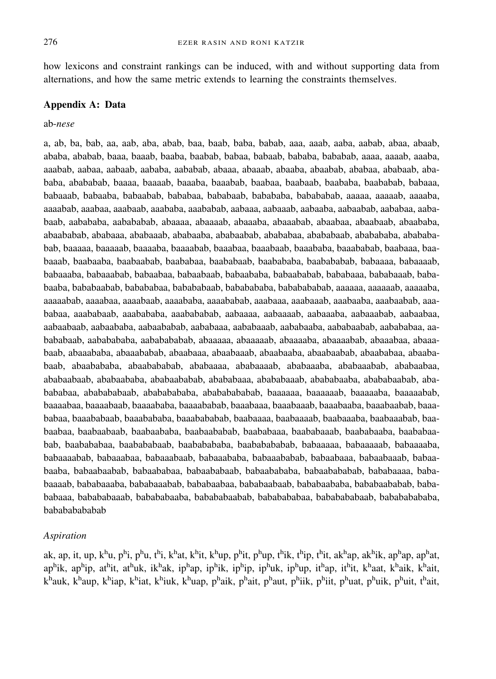how lexicons and constraint rankings can be induced, with and without supporting data from alternations, and how the same metric extends to learning the constraints themselves.

#### **Appendix A: Data**

#### ab-*nese*

a, ab, ba, bab, aa, aab, aba, abab, baa, baab, baba, babab, aaa, aaab, aaba, aabab, abaa, abaab, ababa, ababab, baaa, baaab, baaba, baabab, babaa, babaab, bababa, bababab, aaaa, aaaab, aaaba, aaabab, aabaa, aabaab, aababa, aababab, abaaa, abaaab, abaaba, abaabab, ababaa, ababaab, abababa, abababab, baaaa, baaaab, baaaba, baaabab, baabaa, baabaab, baababa, baababab, babaaa, babaaab, babaaba, babaabab, bababaa, bababaab, babababa, babababab, aaaaa, aaaaab, aaaaba, aaaabab, aaabaa, aaabaab, aaababa, aaababab, aabaaa, aabaaab, aabaaba, aabaabab, aababaa, aababaab, aabababa, aabababab, abaaaa, abaaaab, abaaaba, abaaabab, abaabaa, abaabaab, abaababa, abaababab, ababaaa, ababaaab, ababaaba, ababaabab, abababaa, abababaab, ababababa, ababababab, baaaaa, baaaaab, baaaaba, baaaabab, baaabaa, baaabaab, baaababa, baaababab, baabaaa, baabaaab, baabaaba, baabaabab, baababaa, baababaab, baabababa, baabababab, babaaaa, babaaaab, babaaaba, babaaabab, babaabaa, babaabaab, babaababa, babaababab, bababaaa, bababaaab, bababaaba, bababaabab, babababaa, babababaab, bababababa, bababababab, aaaaaa, aaaaaab, aaaaaba, aaaaabab, aaaabaa, aaaabaab, aaaababa, aaaababab, aaabaaa, aaabaaab, aaabaaba, aaabaabab, aaababaa, aaababaab, aaabababa, aaabababab, aabaaaa, aabaaaab, aabaaaba, aabaaabab, aabaabaa, aabaabaab, aabaababa, aabaababab, aababaaa, aababaaab, aababaaba, aababaabab, aabababaa, aabababaab, aababababa, aababababab, abaaaaa, abaaaaab, abaaaaba, abaaaabab, abaaabaa, abaaabaab, abaaababa, abaaababab, abaabaaa, abaabaaab, abaabaaba, abaabaabab, abaababaa, abaababaab, abaabababa, abaabababab, ababaaaa, ababaaaab, ababaaaba, ababaaabab, ababaabaa, ababaabaab, ababaababa, ababaababab, abababaaa, abababaaab, abababaaba, abababaabab, ababababaa, ababababaab, abababababa, abababababab, baaaaaa, baaaaaab, baaaaaba, baaaaabab, baaaabaa, baaaabaab, baaaababa, baaaababab, baaabaaa, baaabaaab, baaabaaba, baaabaabab, baaababaa, baaababaab, baaabababa, baaabababab, baabaaaa, baabaaaab, baabaaaba, baabaaabab, baabaabaa, baabaabaab, baabaababa, baabaababab, baababaaa, baababaaab, baababaaba, baababaabab, baabababaa, baabababaab, baababababa, baababababab, babaaaaa, babaaaaab, babaaaaba, babaaaabab, babaaabaa, babaaabaab, babaaababa, babaaababab, babaabaaa, babaabaaab, babaabaaba, babaabaabab, babaababaa, babaababaab, babaabababa, babaabababab, bababaaaa, bababaaaab, bababaaaba, bababaaabab, bababaabaa, bababaabaab, bababaababa, bababaababab, babababaaa, babababaaab, babababaaba, babababaabab, bababababaa, bababababaab, babababababa, babababababab

#### *Aspiration*

ak, ap, it, up, kʰu, pʰi, pʰu, tʰi, kʰat, kʰit, kʰup, pʰit, pʰup, tʰik, tʰip, tʰit, akʰap, akʰik, apʰap, apʰat, ap<sup>h</sup>ik, ap<sup>h</sup>ip, at<sup>h</sup>it, at<sup>h</sup>uk, ik<sup>h</sup>ak, ip<sup>h</sup>ap, ip<sup>h</sup>ik, ip<sup>h</sup>ip, ip<sup>h</sup>uk, ip<sup>h</sup>up, it<sup>h</sup>ap, it<sup>h</sup>it, k<sup>h</sup>aat, k<sup>h</sup>aik, k<sup>h</sup>ait, k<sup>h</sup>auk, k<sup>h</sup>aup, k<sup>h</sup>iap, k<sup>h</sup>iat, k<sup>h</sup>iuk, k<sup>h</sup>uap, p<sup>h</sup>aik, p<sup>h</sup>ait, p<sup>h</sup>aut, p<sup>h</sup>iik, p<sup>h</sup>iit, p<sup>h</sup>uat, p<sup>h</sup>uik, p<sup>h</sup>uit, t<sup>h</sup>ait,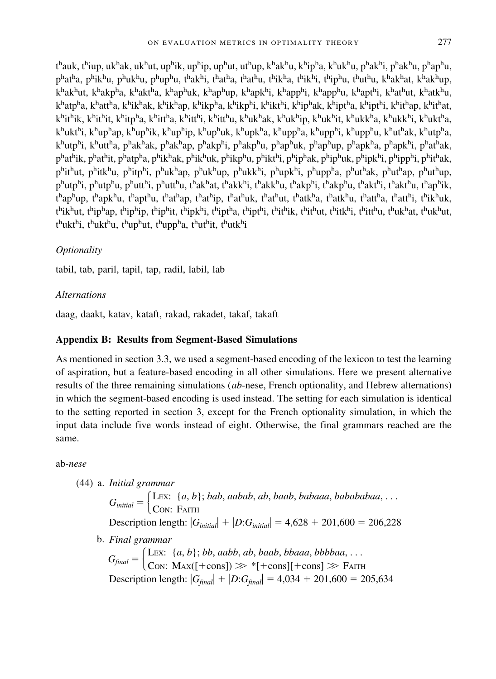t<sup>h</sup>auk, t<sup>h</sup>iup, uk<sup>h</sup>ak, uk<sup>h</sup>ut, up<sup>h</sup>ik, up<sup>h</sup>ip, up<sup>h</sup>ut, ut<sup>h</sup>up, k<sup>h</sup>ak<sup>h</sup>u, k<sup>h</sup>ip<sup>h</sup>a, k<sup>h</sup>uk<sup>h</sup>u, p<sup>h</sup>ak<sup>h</sup>i, p<sup>h</sup>ak<sup>h</sup>u, p<sup>h</sup>ap<sup>h</sup>u, p<sup>h</sup>at<sup>h</sup>a, p<sup>h</sup>ik<sup>h</sup>u, p<sup>h</sup>uk<sup>h</sup>u, p<sup>h</sup>up<sup>h</sup>u, t<sup>h</sup>ak<sup>h</sup>i, t<sup>h</sup>at<sup>h</sup>a, t<sup>h</sup>at<sup>h</sup>u, t<sup>h</sup>ik<sup>h</sup>a, t<sup>h</sup>ik<sup>h</sup>i, t<sup>h</sup>ip<sup>h</sup>u, t<sup>h</sup>ut<sup>h</sup>u, k<sup>h</sup>ak<sup>h</sup>at, k<sup>h</sup>ak<sup>h</sup>up, k<sup>h</sup>ak<sup>h</sup>ut, k<sup>h</sup>akp<sup>h</sup>a, k<sup>h</sup>akt<sup>h</sup>a, k<sup>h</sup>ap<sup>h</sup>uk, k<sup>h</sup>ap<sup>h</sup>up, k<sup>h</sup>apk<sup>h</sup>i, k<sup>h</sup>app<sup>h</sup>i, k<sup>h</sup>app<sup>h</sup>u, k<sup>h</sup>apt<sup>h</sup>i, k<sup>h</sup>at<sup>h</sup>ut, k<sup>h</sup>atk<sup>h</sup>u, kʰatpʰa, kʰattʰa, kʰikʰak, kʰikʰap, kʰikpʰa, kʰikpʰi, kʰiktʰi, kʰipʰak, kʰiptʰa, kʰiptʰi, kʰitʰap, kʰitʰat, k<sup>h</sup>it<sup>h</sup>ik, k<sup>h</sup>it<sup>h</sup>it, k<sup>h</sup>itp<sup>h</sup>a, k<sup>h</sup>itt<sup>h</sup>a, k<sup>h</sup>itt<sup>h</sup>i, k<sup>h</sup>itt<sup>h</sup>u, k<sup>h</sup>uk<sup>h</sup>ak, k<sup>h</sup>uk<sup>h</sup>ip, k<sup>h</sup>uk<sup>h</sup>it, k<sup>h</sup>ukk<sup>h</sup>a, k<sup>h</sup>ukk<sup>h</sup>i, k<sup>h</sup>ukt<sup>h</sup>a, k<sup>h</sup>ukt<sup>h</sup>i, k<sup>h</sup>up<sup>h</sup>ap, k<sup>h</sup>up<sup>h</sup>ik, k<sup>h</sup>up<sup>h</sup>ip, k<sup>h</sup>up<sup>h</sup>uk, k<sup>h</sup>upk<sup>h</sup>a, k<sup>h</sup>upp<sup>h</sup>a, k<sup>h</sup>upp<sup>h</sup>i, k<sup>h</sup>upp<sup>h</sup>u, k<sup>h</sup>ut<sup>h</sup>ak, k<sup>h</sup>utp<sup>h</sup>a, k<sup>h</sup>utp<sup>h</sup>i, k<sup>h</sup>utt<sup>h</sup>a, p<sup>h</sup>ak<sup>h</sup>ak, p<sup>h</sup>ak<sup>h</sup>ap, p<sup>h</sup>akp<sup>h</sup>i, p<sup>h</sup>akp<sup>h</sup>u, p<sup>h</sup>ap<sup>h</sup>uk, p<sup>h</sup>ap<sup>h</sup>up, p<sup>h</sup>apk<sup>h</sup>a, p<sup>h</sup>apk<sup>h</sup>i, p<sup>h</sup>at<sup>h</sup>ak, p<sup>h</sup>at<sup>h</sup>ik, p<sup>h</sup>at<sup>h</sup>it, p<sup>h</sup>atp<sup>h</sup>a, p<sup>h</sup>ik<sup>h</sup>ak, p<sup>h</sup>ik<sup>h</sup>uk, p<sup>h</sup>ikp<sup>h</sup>u, p<sup>h</sup>ikt<sup>h</sup>i, p<sup>h</sup>ip<sup>h</sup>ak, p<sup>h</sup>ip<sup>h</sup>uk, p<sup>h</sup>ipk<sup>h</sup>i, p<sup>h</sup>ipp<sup>h</sup>i, p<sup>h</sup>it<sup>h</sup>ak, p<sup>h</sup>it<sup>h</sup>ut, p<sup>h</sup>itk<sup>h</sup>u, p<sup>h</sup>itp<sup>h</sup>i, p<sup>h</sup>uk<sup>h</sup>ap, p<sup>h</sup>uk<sup>h</sup>up, p<sup>h</sup>ukk<sup>h</sup>i, p<sup>h</sup>upk<sup>h</sup>i, p<sup>h</sup>upp<sup>h</sup>a, p<sup>h</sup>ut<sup>h</sup>ak, p<sup>h</sup>ut<sup>h</sup>ap, p<sup>h</sup>ut<sup>h</sup>up, p<sup>h</sup>utp<sup>h</sup>i, p<sup>h</sup>utp<sup>h</sup>u, p<sup>h</sup>utt<sup>h</sup>i, p<sup>h</sup>utt<sup>h</sup>u, t<sup>h</sup>ak<sup>h</sup>at, t<sup>h</sup>akk<sup>h</sup>i, t<sup>h</sup>akk<sup>h</sup>u, t<sup>h</sup>akp<sup>h</sup>i, t<sup>h</sup>akt<sup>h</sup>i, thakt<sup>h</sup>u, t<sup>h</sup>aphik, t<sup>h</sup>ap<sup>h</sup>up, t<sup>h</sup>apk<sup>h</sup>u, t<sup>h</sup>apt<sup>h</sup>u, t<sup>h</sup>at<sup>h</sup>ap, t<sup>h</sup>at<sup>h</sup>ip, t<sup>h</sup>at<sup>h</sup>uk, t<sup>h</sup>at<sup>h</sup>ut, t<sup>h</sup>atk<sup>h</sup>a, t<sup>h</sup>atk<sup>h</sup>u, t<sup>h</sup>att<sup>h</sup>i, t<sup>h</sup>ik<sup>h</sup>uk, t<sup>h</sup>ik<sup>h</sup>ut, t<sup>h</sup>ip<sup>h</sup>ap, t<sup>h</sup>ip<sup>h</sup>ip, t<sup>h</sup>ip<sup>h</sup>it, t<sup>h</sup>ipk<sup>h</sup>i, t<sup>h</sup>ipt<sup>h</sup>a, t<sup>h</sup>ipt<sup>h</sup>i, t<sup>h</sup>it<sup>h</sup>ik, t<sup>h</sup>itk<sup>h</sup>ut, thitthi, t<sup>h</sup>itt<sup>h</sup>u, t<sup>h</sup>uk<sup>h</sup>at, t<sup>h</sup>uk<sup>h</sup>ut, t<sup>h</sup>ukt<sup>h</sup>i, t<sup>h</sup>ukt<sup>h</sup>u, t<sup>h</sup>up<sup>h</sup>ut, t<sup>h</sup>upp<sup>h</sup>a, t<sup>h</sup>ut<sup>h</sup>it, t<sup>h</sup>utk<sup>h</sup>i

# *Optionality*

tabil, tab, paril, tapil, tap, radil, labil, lab

# *Alternations*

daag, daakt, katav, kataft, rakad, rakadet, takaf, takaft

### **Appendix B: Results from Segment-Based Simulations**

As mentioned in section 3.3, we used a segment-based encoding of the lexicon to test the learning of aspiration, but a feature-based encoding in all other simulations. Here we present alternative results of the three remaining simulations (*ab*-nese, French optionality, and Hebrew alternations) in which the segment-based encoding is used instead. The setting for each simulation is identical to the setting reported in section 3, except for the French optionality simulation, in which the input data include five words instead of eight. Otherwise, the final grammars reached are the same.

#### ab*-nese*

(44) a. Initial grammar

Description length:  $|G_{initial}| + |D:G_{initial}| = 4,628 + 201,600 = 206,228$  $G_{initial} = \left\{ \frac{\text{Lex.}}{\text{Cov}} \right\}$ CON: {*a*, *b*}; *bab*, *aabab*, *ab*, *baab*, *babaaa*, *babababaa*, . . . FAITH

b. *Final grammar*

Description length:  $|G_{final}| + |D:G_{final}| = 4,034 + 201,600 = 205,634$  $G_{final} = \begin{cases} \text{Lex:} \\ \text{Cov:} \end{cases}$ CON: {*a*, *b*}; *bb*, *aabb*, *ab*, *baab*, *bbaaa*, *bbbbaa*, . . .  $Max([+\cos]) \gg *[+\cos][+\cos] \gg F_{AITH}$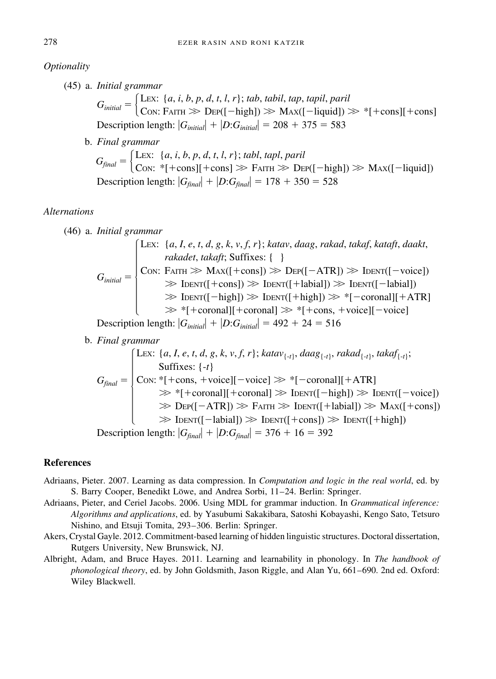#### *Optionality*

(45) a. Initial grammar

Description length:  $|G_{initial}| + |D:G_{initial}| = 208 + 375 = 583$  $G_{initial} = \left\{ \frac{\text{Lex.}}{\text{Cov}} \right\}$ CON: {*a*, *i*, *b*, *p*, *d*, *t*, *l*, *r*}; *tab*, *tabil*, *tap*, *tapil*, *paril*  $F_{\text{AITH}} \gg \text{Dep}([-high]) \gg \text{Max}([-liquid]) \gg *[+cons][+cons]$ 

b. *Final grammar*

Description length:  $|G_{final}| + |D:G_{final}| = 178 + 350 = 528$  $G_{final} = \begin{cases} \text{Lex:} \\ \text{Cov:} \end{cases}$ Con: {*a*, *i*, *b*, *p*, *d*, *t*, *l*, *r*}; *tabl*, *tapl*, *paril*  $*$ [+cons][+cons]  $\gg$  FAITH  $\gg$  DEP([-high])  $\gg$  MAX([-liquid])

# *Alternations*

(46) a. Initial grammar

$$
G_{initial} = \begin{cases} \text{LEX: } \{a, I, e, t, d, g, k, v, f, r\}; \text{katav, daag, rakad, takaf, kataft, daakt, rakadet, takaft; Suffixes: } \{c, \text{DSE}([-\text{ATR}]) \gg \text{IDENT}([-\text{voice}]) \\ \text{Conv: FATH} \gg \text{MAX}([+\text{cons}]) \gg \text{DEF}([-\text{ATR}]) \gg \text{IDENT}([-\text{tabil}]) \\ \gg \text{IDENT}([+\text{noisl}]) \gg \text{IDENT}([+\text{high}]) \gg \text{K}[-\text{coronal}][+\text{ATR}] \\ \gg \text{*}[-\text{coronal}][+\text{coronal}]\gg \text{*}[-\text{coronal}][-\text{voice}] \end{cases}
$$

Description length:  $|G_{initial}| + |D:G_{initial}| = 492 + 24 = 516$ 

b. *Final grammar*

$$
G_{final} = \begin{cases} \text{Lex: } \{a, I, e, t, d, g, k, v, f, r\}; \text{katav}_{\{-t\}}, \text{daag}_{\{-t\}}, \text{rakad}_{\{-t\}}, \text{takaf}_{\{-t\}}; \\ \text{Corrives: } \{-t\} \\ \text{Conv: } *[+ \text{cons}, + \text{voice}][- \text{voice}] \gg *[- \text{coronal}][+ \text{ATR}] \\ \gg *[+ \text{coronal}][+ \text{coronal}] \gg \text{IDENT}([- \text{high}]) \gg \text{IDENT}([- \text{voice}]) \\ \gg \text{Der}([- \text{ATR}]) \gg \text{FATT} \gg \text{IDENT}([+ \text{labial}]) \gg \text{Max}([+ \text{cons}]) \\ \text{Description length: } |G_{final}| + |D: G_{final}| = 376 + 16 = 392 \end{cases}
$$

# **References**

- Adriaans, Pieter. 2007. Learning as data compression. In *Computation and logic in the real world*, ed. by S. Barry Cooper, Benedikt Löwe, and Andrea Sorbi, 11–24. Berlin: Springer.
- Adriaans, Pieter, and Ceriel Jacobs. 2006. Using MDL for grammar induction. In *Grammatical inference: Algorithms and applications*, ed. by Yasubumi Sakakibara, Satoshi Kobayashi, Kengo Sato, Tetsuro Nishino, and Etsuji Tomita, 293–306. Berlin: Springer.
- Akers, Crystal Gayle. 2012. Commitment-based learning of hidden linguistic structures. Doctoral dissertation, Rutgers University, New Brunswick, NJ.
- Albright, Adam, and Bruce Hayes. 2011. Learning and learnability in phonology. In *The handbook of phonological theory*, ed. by John Goldsmith, Jason Riggle, and Alan Yu, 661–690. 2nd ed. Oxford: Wiley Blackwell.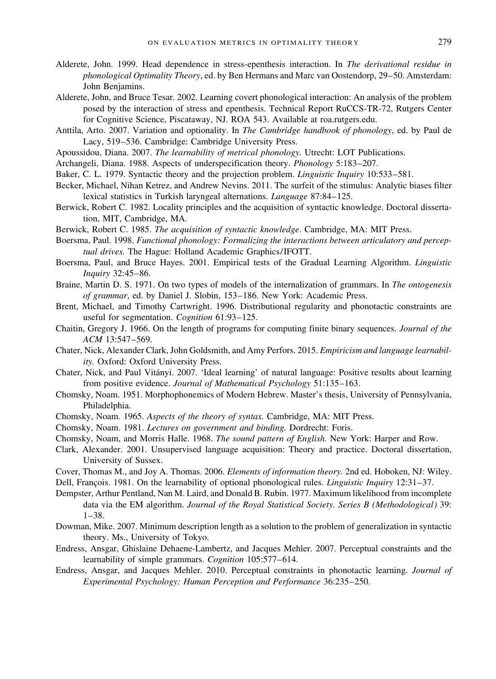- Alderete, John. 1999. Head dependence in stress-epenthesis interaction. In *The derivational residue in phonological Optimality Theory*, ed. by Ben Hermans and Marc van Oostendorp, 29–50. Amsterdam: John Benjamins.
- Alderete, John, and Bruce Tesar. 2002. Learning covert phonological interaction: An analysis of the problem posed by the interaction of stress and epenthesis. Technical Report RuCCS-TR-72, Rutgers Center for Cognitive Science, Piscataway, NJ. ROA 543. Available at roa.rutgers.edu.
- Anttila, Arto. 2007. Variation and optionality. In *The Cambridge handbook of phonology*, ed. by Paul de Lacy, 519–536. Cambridge: Cambridge University Press.
- Apoussidou, Diana. 2007. *The learnability of metrical phonology.* Utrecht: LOT Publications.
- Archangeli, Diana. 1988. Aspects of underspecification theory. *Phonology* 5:183–207.
- Baker, C. L. 1979. Syntactic theory and the projection problem. *Linguistic Inquiry* 10:533–581.
- Becker, Michael, Nihan Ketrez, and Andrew Nevins. 2011. The surfeit of the stimulus: Analytic biases filter lexical statistics in Turkish laryngeal alternations. *Language* 87:84–125.
- Berwick, Robert C. 1982. Locality principles and the acquisition of syntactic knowledge. Doctoral dissertation, MIT, Cambridge, MA.
- Berwick, Robert C. 1985. *The acquisition of syntactic knowledge*. Cambridge, MA: MIT Press.
- Boersma, Paul. 1998. *Functional phonology: Formalizing the interactions between articulatory and perceptual drives.* The Hague: Holland Academic Graphics/IFOTT.
- Boersma, Paul, and Bruce Hayes. 2001. Empirical tests of the Gradual Learning Algorithm. *Linguistic Inquiry* 32:45–86.
- Braine, Martin D. S. 1971. On two types of models of the internalization of grammars. In *The ontogenesis of grammar*, ed. by Daniel J. Slobin, 153–186. New York: Academic Press.
- Brent, Michael, and Timothy Cartwright. 1996. Distributional regularity and phonotactic constraints are useful for segmentation. *Cognition* 61:93–125.
- Chaitin, Gregory J. 1966. On the length of programs for computing finite binary sequences. *Journal of the ACM* 13:547–569.
- Chater, Nick, Alexander Clark, John Goldsmith, and Amy Perfors. 2015. *Empiricism and language learnability.* Oxford: Oxford University Press.
- Chater, Nick, and Paul Vitányi. 2007. 'Ideal learning' of natural language: Positive results about learning from positive evidence. *Journal of Mathematical Psychology* 51:135–163.
- Chomsky, Noam. 1951. Morphophonemics of Modern Hebrew. Master's thesis, University of Pennsylvania, Philadelphia.
- Chomsky, Noam. 1965. *Aspects of the theory of syntax.* Cambridge, MA: MIT Press.
- Chomsky, Noam. 1981. *Lectures on government and binding.* Dordrecht: Foris.
- Chomsky, Noam, and Morris Halle. 1968. *The sound pattern of English.* New York: Harper and Row.
- Clark, Alexander. 2001. Unsupervised language acquisition: Theory and practice. Doctoral dissertation, University of Sussex.
- Cover, Thomas M., and Joy A. Thomas. 2006. *Elements of information theory.* 2nd ed. Hoboken, NJ: Wiley. Dell, François. 1981. On the learnability of optional phonological rules. *Linguistic Inquiry* 12:31–37.
- Dempster, Arthur Pentland, Nan M. Laird, and Donald B. Rubin. 1977. Maximum likelihood from incomplete data via the EM algorithm. *Journal of the Royal Statistical Society. Series B (Methodological)* 39: 1–38.
- Dowman, Mike. 2007. Minimum description length as a solution to the problem of generalization in syntactic theory. Ms., University of Tokyo.
- Endress, Ansgar, Ghislaine Dehaene-Lambertz, and Jacques Mehler. 2007. Perceptual constraints and the learnability of simple grammars. *Cognition* 105:577–614.
- Endress, Ansgar, and Jacques Mehler. 2010. Perceptual constraints in phonotactic learning. *Journal of Experimental Psychology: Human Perception and Performance* 36:235–250.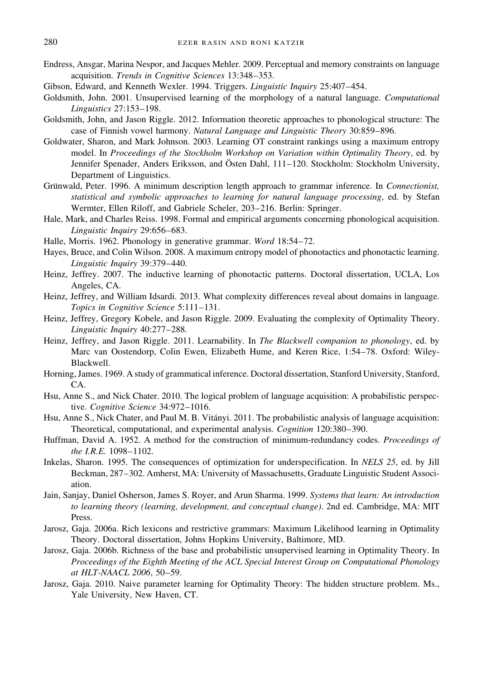- Endress, Ansgar, Marina Nespor, and Jacques Mehler. 2009. Perceptual and memory constraints on language acquisition. *Trends in Cognitive Sciences* 13:348–353.
- Gibson, Edward, and Kenneth Wexler. 1994. Triggers. *Linguistic Inquiry* 25:407–454.
- Goldsmith, John. 2001. Unsupervised learning of the morphology of a natural language. *Computational Linguistics* 27:153–198.
- Goldsmith, John, and Jason Riggle. 2012. Information theoretic approaches to phonological structure: The case of Finnish vowel harmony. *Natural Language and Linguistic Theory* 30:859–896.
- Goldwater, Sharon, and Mark Johnson. 2003. Learning OT constraint rankings using a maximum entropy model. In *Proceedings of the Stockholm Workshop on Variation within Optimality Theory*, ed. by Jennifer Spenader, Anders Eriksson, and Östen Dahl, 111–120. Stockholm: Stockholm University, Department of Linguistics.
- Grünwald, Peter. 1996. A minimum description length approach to grammar inference. In *Connectionist*, *statistical and symbolic approaches to learning for natural language processing*, ed. by Stefan Wermter, Ellen Riloff, and Gabriele Scheler, 203–216. Berlin: Springer.
- Hale, Mark, and Charles Reiss. 1998. Formal and empirical arguments concerning phonological acquisition. *Linguistic Inquiry* 29:656–683.
- Halle, Morris. 1962. Phonology in generative grammar. *Word* 18:54–72.
- Hayes, Bruce, and Colin Wilson. 2008. A maximum entropy model of phonotactics and phonotactic learning. *Linguistic Inquiry* 39:379–440.
- Heinz, Jeffrey. 2007. The inductive learning of phonotactic patterns. Doctoral dissertation, UCLA, Los Angeles, CA.
- Heinz, Jeffrey, and William Idsardi. 2013. What complexity differences reveal about domains in language. *Topics in Cognitive Science* 5:111–131.
- Heinz, Jeffrey, Gregory Kobele, and Jason Riggle. 2009. Evaluating the complexity of Optimality Theory. *Linguistic Inquiry* 40:277–288.
- Heinz, Jeffrey, and Jason Riggle. 2011. Learnability. In *The Blackwell companion to phonology*, ed. by Marc van Oostendorp, Colin Ewen, Elizabeth Hume, and Keren Rice, 1:54–78. Oxford: Wiley-Blackwell.
- Horning, James. 1969. A study of grammatical inference. Doctoral dissertation, Stanford University, Stanford, CA.
- Hsu, Anne S., and Nick Chater. 2010. The logical problem of language acquisition: A probabilistic perspective. *Cognitive Science* 34:972–1016.
- Hsu, Anne S., Nick Chater, and Paul M. B. Vitányi. 2011. The probabilistic analysis of language acquisition: Theoretical, computational, and experimental analysis. *Cognition* 120:380–390.
- Huffman, David A. 1952. A method for the construction of minimum-redundancy codes. *Proceedings of the I.R.E.* 1098–1102.
- Inkelas, Sharon. 1995. The consequences of optimization for underspecification. In *NELS 25*, ed. by Jill Beckman, 287–302. Amherst, MA: University of Massachusetts, Graduate Linguistic Student Association.
- Jain, Sanjay, Daniel Osherson, James S. Royer, and Arun Sharma. 1999. *Systems that learn: An introduction to learning theory (learning, development, and conceptual change)*. 2nd ed. Cambridge, MA: MIT Press.
- Jarosz, Gaja. 2006a. Rich lexicons and restrictive grammars: Maximum Likelihood learning in Optimality Theory. Doctoral dissertation, Johns Hopkins University, Baltimore, MD.
- Jarosz, Gaja. 2006b. Richness of the base and probabilistic unsupervised learning in Optimality Theory. In *Proceedings of the Eighth Meeting of the ACL Special Interest Group on Computational Phonology at HLT-NAACL 2006*, 50–59.
- Jarosz, Gaja. 2010. Naive parameter learning for Optimality Theory: The hidden structure problem. Ms., Yale University, New Haven, CT.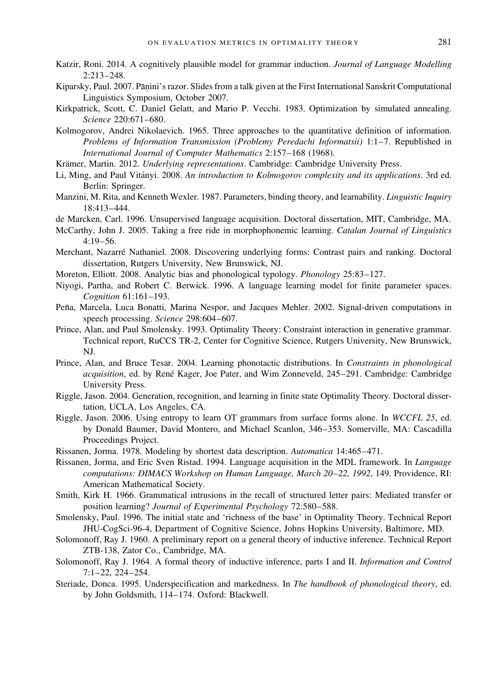- Katzir, Roni. 2014. A cognitively plausible model for grammar induction. *Journal of Language Modelling* 2:213–248.
- Kiparsky, Paul. 2007. Pāṇini's razor. Slides from a talk given at the First International Sanskrit Computational Linguistics Symposium, October 2007.
- Kirkpatrick, Scott, C. Daniel Gelatt, and Mario P. Vecchi. 1983. Optimization by simulated annealing. *Science* 220:671–680.
- Kolmogorov, Andrei Nikolaevich. 1965. Three approaches to the quantitative definition of information. *Problems of Information Transmission (Problemy Peredachi Informatsii)* 1:1–7. Republished in *International Journal of Computer Mathematics* 2:157–168 (1968).
- Krämer, Martin. 2012. *Underlying representations*. Cambridge: Cambridge University Press.
- Li, Ming, and Paul Vitányi. 2008. An introduction to Kolmogorov complexity and its applications. 3rd ed. Berlin: Springer.
- Manzini, M. Rita, and Kenneth Wexler. 1987. Parameters, binding theory, and learnability. *Linguistic Inquiry* 18:413–444.
- de Marcken, Carl. 1996. Unsupervised language acquisition. Doctoral dissertation, MIT, Cambridge, MA.
- McCarthy, John J. 2005. Taking a free ride in morphophonemic learning. *Catalan Journal of Linguistics* 4:19–56.
- Merchant, Nazarré Nathaniel. 2008. Discovering underlying forms: Contrast pairs and ranking. Doctoral dissertation, Rutgers University, New Brunswick, NJ.
- Moreton, Elliott. 2008. Analytic bias and phonological typology. *Phonology* 25:83–127.
- Niyogi, Partha, and Robert C. Berwick. 1996. A language learning model for finite parameter spaces. *Cognition* 61:161–193.
- Peña, Marcela, Luca Bonatti, Marina Nespor, and Jacques Mehler. 2002. Signal-driven computations in speech processing. *Science* 298:604–607.
- Prince, Alan, and Paul Smolensky. 1993. Optimality Theory: Constraint interaction in generative grammar. Technical report, RuCCS TR-2, Center for Cognitive Science, Rutgers University, New Brunswick, NJ.
- Prince, Alan, and Bruce Tesar. 2004. Learning phonotactic distributions. In *Constraints in phonological acquisition*, ed. by René Kager, Joe Pater, and Wim Zonneveld, 245-291. Cambridge: Cambridge University Press.
- Riggle, Jason. 2004. Generation, recognition, and learning in finite state Optimality Theory. Doctoral dissertation, UCLA, Los Angeles, CA.
- Riggle, Jason. 2006. Using entropy to learn OT grammars from surface forms alone. In *WCCFL 25*, ed. by Donald Baumer, David Montero, and Michael Scanlon, 346–353. Somerville, MA: Cascadilla Proceedings Project.
- Rissanen, Jorma. 1978. Modeling by shortest data description. *Automatica* 14:465–471.
- Rissanen, Jorma, and Eric Sven Ristad. 1994. Language acquisition in the MDL framework. In *Language computations: DIMACS Workshop on Human Language, March 20–22, 1992*, 149. Providence, RI: American Mathematical Society.
- Smith, Kirk H. 1966. Grammatical intrusions in the recall of structured letter pairs: Mediated transfer or position learning? *Journal of Experimental Psychology* 72:580–588.
- Smolensky, Paul. 1996. The initial state and 'richness of the base' in Optimality Theory. Technical Report JHU-CogSci-96-4, Department of Cognitive Science, Johns Hopkins University, Baltimore, MD.
- Solomonoff, Ray J. 1960. A preliminary report on a general theory of inductive inference. Technical Report ZTB-138, Zator Co., Cambridge, MA.
- Solomonoff, Ray J. 1964. A formal theory of inductive inference, parts I and II. *Information and Control* 7:1–22, 224–254.
- Steriade, Donca. 1995. Underspecification and markedness. In *The handbook of phonological theory*, ed. by John Goldsmith, 114–174. Oxford: Blackwell.